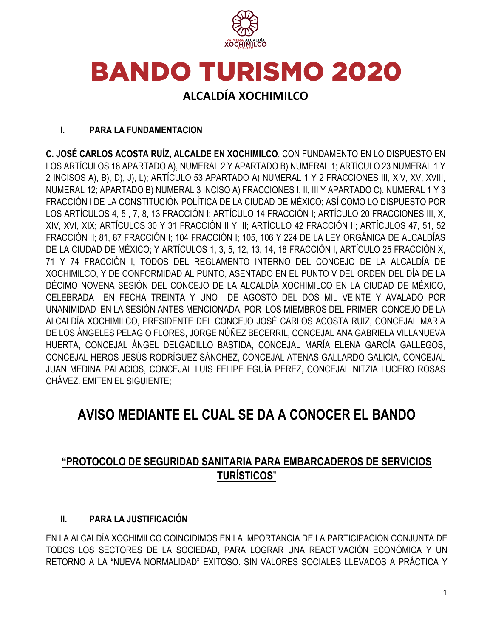

# **BANDO TURISMO 2020**

# **ALCALDÍA XOCHIMILCO**

# **I. PARA LA FUNDAMENTACION**

**C. JOSÉ CARLOS ACOSTA RUÍZ, ALCALDE EN XOCHIMILCO**, CON FUNDAMENTO EN LO DISPUESTO EN LOS ARTÍCULOS 18 APARTADO A), NUMERAL 2 Y APARTADO B) NUMERAL 1; ARTÍCULO 23 NUMERAL 1 Y 2 INCISOS A), B), D), J), L); ARTÍCULO 53 APARTADO A) NUMERAL 1 Y 2 FRACCIONES III, XIV, XV, XVIII, NUMERAL 12; APARTADO B) NUMERAL 3 INCISO A) FRACCIONES I, II, III Y APARTADO C), NUMERAL 1 Y 3 FRACCIÓN I DE LA CONSTITUCIÓN POLÍTICA DE LA CIUDAD DE MÉXICO; ASÍ COMO LO DISPUESTO POR LOS ARTÍCULOS 4, 5 , 7, 8, 13 FRACCIÓN I; ARTÍCULO 14 FRACCIÓN I; ARTÍCULO 20 FRACCIONES III, X, XIV, XVI, XIX; ARTÍCULOS 30 Y 31 FRACCIÓN II Y III; ARTÍCULO 42 FRACCIÓN II; ARTÍCULOS 47, 51, 52 FRACCIÓN II; 81, 87 FRACCIÓN I; 104 FRACCIÓN I; 105, 106 Y 224 DE LA LEY ORGÁNICA DE ALCALDÍAS DE LA CIUDAD DE MÉXICO; Y ARTÍCULOS 1, 3, 5, 12, 13, 14, 18 FRACCIÓN I, ARTÍCULO 25 FRACCIÓN X, 71 Y 74 FRACCIÓN I, TODOS DEL REGLAMENTO INTERNO DEL CONCEJO DE LA ALCALDÍA DE XOCHIMILCO, Y DE CONFORMIDAD AL PUNTO, ASENTADO EN EL PUNTO V DEL ORDEN DEL DÍA DE LA DÉCIMO NOVENA SESIÓN DEL CONCEJO DE LA ALCALDÍA XOCHIMILCO EN LA CIUDAD DE MÉXICO, CELEBRADA EN FECHA TREINTA Y UNO DE AGOSTO DEL DOS MIL VEINTE Y AVALADO POR UNANIMIDAD EN LA SESIÓN ANTES MENCIONADA, POR LOS MIEMBROS DEL PRIMER CONCEJO DE LA ALCALDÍA XOCHIMILCO, PRESIDENTE DEL CONCEJO JOSÉ CARLOS ACOSTA RUIZ, CONCEJAL MARÍA DE LOS ÁNGELES PELAGIO FLORES, JORGE NÚÑEZ BECERRIL, CONCEJAL ANA GABRIELA VILLANUEVA HUERTA, CONCEJAL ÁNGEL DELGADILLO BASTIDA, CONCEJAL MARÍA ELENA GARCÍA GALLEGOS, CONCEJAL HEROS JESÚS RODRÍGUEZ SÁNCHEZ, CONCEJAL ATENAS GALLARDO GALICIA, CONCEJAL JUAN MEDINA PALACIOS, CONCEJAL LUIS FELIPE EGUÍA PÉREZ, CONCEJAL NITZIA LUCERO ROSAS CHÁVEZ. EMITEN EL SIGUIENTE;

# **AVISO MEDIANTE EL CUAL SE DA A CONOCER EL BANDO**

# **"PROTOCOLO DE SEGURIDAD SANITARIA PARA EMBARCADEROS DE SERVICIOS TURÍSTICOS**"

# **II. PARA LA JUSTIFICACIÓN**

EN LA ALCALDÍA XOCHIMILCO COINCIDIMOS EN LA IMPORTANCIA DE LA PARTICIPACIÓN CONJUNTA DE TODOS LOS SECTORES DE LA SOCIEDAD, PARA LOGRAR UNA REACTIVACIÓN ECONÓMICA Y UN RETORNO A LA "NUEVA NORMALIDAD" EXITOSO. SIN VALORES SOCIALES LLEVADOS A PRÁCTICA Y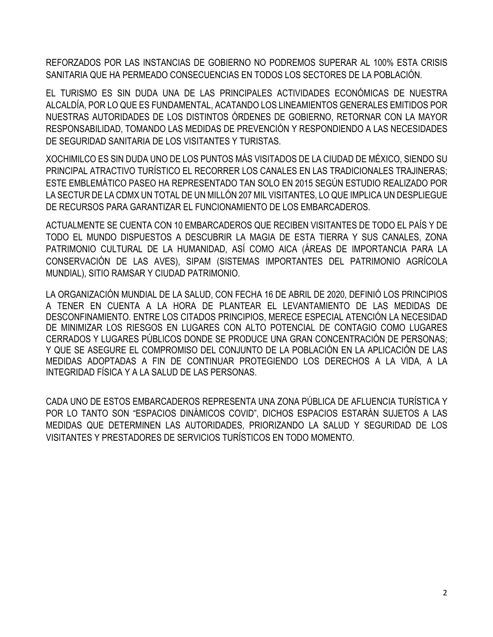REFORZADOS POR LAS INSTANCIAS DE GOBIERNO NO PODREMOS SUPERAR AL 100% ESTA CRISIS SANITARIA QUE HA PERMEADO CONSECUENCIAS EN TODOS LOS SECTORES DE LA POBLACIÓN.

EL TURISMO ES SIN DUDA UNA DE LAS PRINCIPALES ACTIVIDADES ECONÓMICAS DE NUESTRA ALCALDÍA, POR LO QUE ES FUNDAMENTAL, ACATANDO LOS LINEAMIENTOS GENERALES EMITIDOS POR NUESTRAS AUTORIDADES DE LOS DISTINTOS ÓRDENES DE GOBIERNO, RETORNAR CON LA MAYOR RESPONSABILIDAD, TOMANDO LAS MEDIDAS DE PREVENCIÓN Y RESPONDIENDO A LAS NECESIDADES DE SEGURIDAD SANITARIA DE LOS VISITANTES Y TURISTAS.

XOCHIMILCO ES SIN DUDA UNO DE LOS PUNTOS MÁS VISITADOS DE LA CIUDAD DE MÉXICO, SIENDO SU PRINCIPAL ATRACTIVO TURÍSTICO EL RECORRER LOS CANALES EN LAS TRADICIONALES TRAJINERAS; ESTE EMBLEMÁTICO PASEO HA REPRESENTADO TAN SOLO EN 2015 SEGÚN ESTUDIO REALIZADO POR LA SECTUR DE LA CDMX UN TOTAL DE UN MILLÓN 207 MIL VISITANTES, LO QUE IMPLICA UN DESPLIEGUE DE RECURSOS PARA GARANTIZAR EL FUNCIONAMIENTO DE LOS EMBARCADEROS.

ACTUALMENTE SE CUENTA CON 10 EMBARCADEROS QUE RECIBEN VISITANTES DE TODO EL PAÍS Y DE TODO EL MUNDO DISPUESTOS A DESCUBRIR LA MAGIA DE ESTA TIERRA Y SUS CANALES, ZONA PATRIMONIO CULTURAL DE LA HUMANIDAD, ASÍ COMO AICA (ÁREAS DE IMPORTANCIA PARA LA CONSERVACIÓN DE LAS AVES), SIPAM (SISTEMAS IMPORTANTES DEL PATRIMONIO AGRÍCOLA MUNDIAL), SITIO RAMSAR Y CIUDAD PATRIMONIO.

LA ORGANIZACIÓN MUNDIAL DE LA SALUD, CON FECHA 16 DE ABRIL DE 2020, DEFINIÓ LOS PRINCIPIOS A TENER EN CUENTA A LA HORA DE PLANTEAR EL LEVANTAMIENTO DE LAS MEDIDAS DE DESCONFINAMIENTO. ENTRE LOS CITADOS PRINCIPIOS, MERECE ESPECIAL ATENCIÓN LA NECESIDAD DE MINIMIZAR LOS RIESGOS EN LUGARES CON ALTO POTENCIAL DE CONTAGIO COMO LUGARES CERRADOS Y LUGARES PÚBLICOS DONDE SE PRODUCE UNA GRAN CONCENTRACIÓN DE PERSONAS; Y QUE SE ASEGURE EL COMPROMISO DEL CONJUNTO DE LA POBLACIÓN EN LA APLICACIÓN DE LAS MEDIDAS ADOPTADAS A FIN DE CONTINUAR PROTEGIENDO LOS DERECHOS A LA VIDA, A LA INTEGRIDAD FÍSICA Y A LA SALUD DE LAS PERSONAS.

CADA UNO DE ESTOS EMBARCADEROS REPRESENTA UNA ZONA PÚBLICA DE AFLUENCIA TURÍSTICA Y POR LO TANTO SON "ESPACIOS DINÁMICOS COVID", DICHOS ESPACIOS ESTARÁN SUJETOS A LAS MEDIDAS QUE DETERMINEN LAS AUTORIDADES, PRIORIZANDO LA SALUD Y SEGURIDAD DE LOS VISITANTES Y PRESTADORES DE SERVICIOS TURÍSTICOS EN TODO MOMENTO.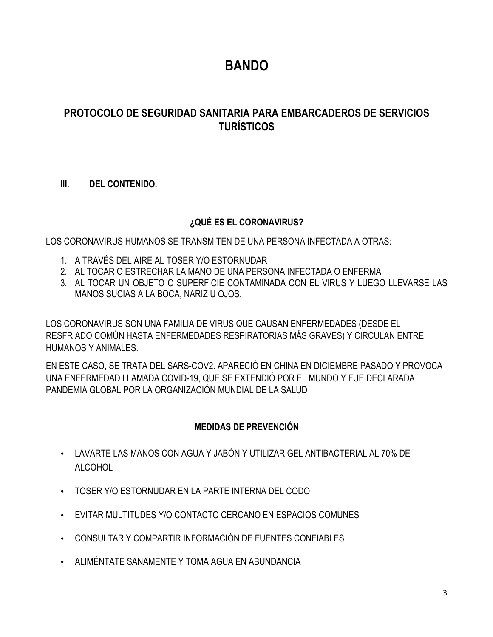# **BANDO**

# **PROTOCOLO DE SEGURIDAD SANITARIA PARA EMBARCADEROS DE SERVICIOS TURÍSTICOS**

# **III. DEL CONTENIDO.**

# **¿QUÉ ES EL CORONAVIRUS?**

LOS CORONAVIRUS HUMANOS SE TRANSMITEN DE UNA PERSONA INFECTADA A OTRAS:

- 1. A TRAVÉS DEL AIRE AL TOSER Y/O ESTORNUDAR
- 2. AL TOCAR O ESTRECHAR LA MANO DE UNA PERSONA INFECTADA O ENFERMA
- 3. AL TOCAR UN OBJETO O SUPERFICIE CONTAMINADA CON EL VIRUS Y LUEGO LLEVARSE LAS MANOS SUCIAS A LA BOCA, NARIZ U OJOS.

LOS CORONAVIRUS SON UNA FAMILIA DE VIRUS QUE CAUSAN ENFERMEDADES (DESDE EL RESFRIADO COMÚN HASTA ENFERMEDADES RESPIRATORIAS MÁS GRAVES) Y CIRCULAN ENTRE HUMANOS Y ANIMALES.

EN ESTE CASO, SE TRATA DEL SARS-COV2. APARECIÓ EN CHINA EN DICIEMBRE PASADO Y PROVOCA UNA ENFERMEDAD LLAMADA COVID-19, QUE SE EXTENDIÓ POR EL MUNDO Y FUE DECLARADA PANDEMIA GLOBAL POR LA ORGANIZACIÓN MUNDIAL DE LA SALUD

# **MEDIDAS DE PREVENCIÓN**

- LAVARTE LAS MANOS CON AGUA Y JABÓN Y UTILIZAR GEL ANTIBACTERIAL AL 70% DE ALCOHOL
- TOSER Y/O ESTORNUDAR EN LA PARTE INTERNA DEL CODO
- EVITAR MULTITUDES Y/O CONTACTO CERCANO EN ESPACIOS COMUNES
- CONSULTAR Y COMPARTIR INFORMACIÓN DE FUENTES CONFIABLES
- ALIMÉNTATE SANAMENTE Y TOMA AGUA EN ABUNDANCIA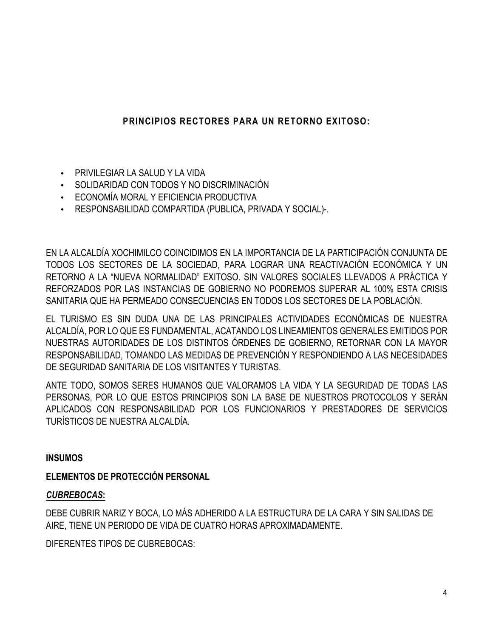# **PRINCIPIOS RECTORES PARA UN RETORNO EXITOSO:**

- PRIVILEGIAR LA SALUD Y LA VIDA
- SOLIDARIDAD CON TODOS Y NO DISCRIMINACIÓN
- ECONOMÍA MORAL Y EFICIENCIA PRODUCTIVA
- RESPONSABILIDAD COMPARTIDA (PUBLICA, PRIVADA Y SOCIAL)-.

EN LA ALCALDÍA XOCHIMILCO COINCIDIMOS EN LA IMPORTANCIA DE LA PARTICIPACIÓN CONJUNTA DE TODOS LOS SECTORES DE LA SOCIEDAD, PARA LOGRAR UNA REACTIVACIÓN ECONÓMICA Y UN RETORNO A LA "NUEVA NORMALIDAD" EXITOSO. SIN VALORES SOCIALES LLEVADOS A PRÁCTICA Y REFORZADOS POR LAS INSTANCIAS DE GOBIERNO NO PODREMOS SUPERAR AL 100% ESTA CRISIS SANITARIA QUE HA PERMEADO CONSECUENCIAS EN TODOS LOS SECTORES DE LA POBLACIÓN.

EL TURISMO ES SIN DUDA UNA DE LAS PRINCIPALES ACTIVIDADES ECONÓMICAS DE NUESTRA ALCALDÍA, POR LO QUE ES FUNDAMENTAL, ACATANDO LOS LINEAMIENTOS GENERALES EMITIDOS POR NUESTRAS AUTORIDADES DE LOS DISTINTOS ÓRDENES DE GOBIERNO, RETORNAR CON LA MAYOR RESPONSABILIDAD, TOMANDO LAS MEDIDAS DE PREVENCIÓN Y RESPONDIENDO A LAS NECESIDADES DE SEGURIDAD SANITARIA DE LOS VISITANTES Y TURISTAS.

ANTE TODO, SOMOS SERES HUMANOS QUE VALORAMOS LA VIDA Y LA SEGURIDAD DE TODAS LAS PERSONAS, POR LO QUE ESTOS PRINCIPIOS SON LA BASE DE NUESTROS PROTOCOLOS Y SERÁN APLICADOS CON RESPONSABILIDAD POR LOS FUNCIONARIOS Y PRESTADORES DE SERVICIOS TURÍSTICOS DE NUESTRA ALCALDÍA.

#### **INSUMOS**

# **ELEMENTOS DE PROTECCIÓN PERSONAL**

# *CUBREBOCAS***:**

DEBE CUBRIR NARIZ Y BOCA, LO MÁS ADHERIDO A LA ESTRUCTURA DE LA CARA Y SIN SALIDAS DE AIRE, TIENE UN PERIODO DE VIDA DE CUATRO HORAS APROXIMADAMENTE.

DIFERENTES TIPOS DE CUBREBOCAS: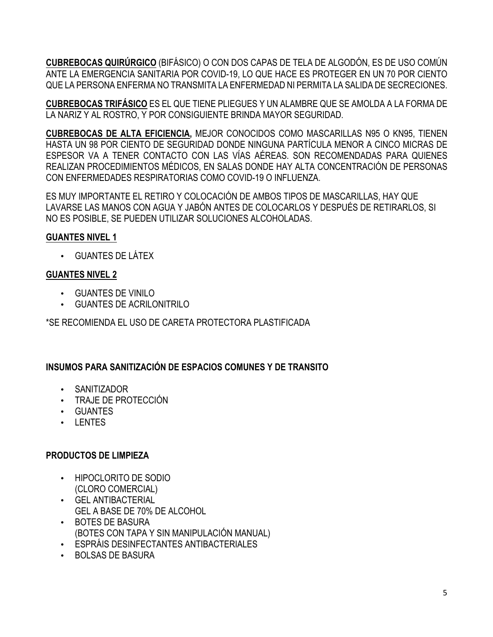**CUBREBOCAS QUIRÚRGICO** (BIFÁSICO) O CON DOS CAPAS DE TELA DE ALGODÓN, ES DE USO COMÚN ANTE LA EMERGENCIA SANITARIA POR COVID-19, LO QUE HACE ES PROTEGER EN UN 70 POR CIENTO QUE LA PERSONA ENFERMA NO TRANSMITA LA ENFERMEDAD NI PERMITA LA SALIDA DE SECRECIONES.

**CUBREBOCAS TRIFÁSICO** ES EL QUE TIENE PLIEGUES Y UN ALAMBRE QUE SE AMOLDA A LA FORMA DE LA NARIZ Y AL ROSTRO, Y POR CONSIGUIENTE BRINDA MAYOR SEGURIDAD.

**CUBREBOCAS DE ALTA EFICIENCIA,** MEJOR CONOCIDOS COMO MASCARILLAS N95 O KN95, TIENEN HASTA UN 98 POR CIENTO DE SEGURIDAD DONDE NINGUNA PARTÍCULA MENOR A CINCO MICRAS DE ESPESOR VA A TENER CONTACTO CON LAS VÍAS AÉREAS. SON RECOMENDADAS PARA QUIENES REALIZAN PROCEDIMIENTOS MÉDICOS, EN SALAS DONDE HAY ALTA CONCENTRACIÓN DE PERSONAS CON ENFERMEDADES RESPIRATORIAS COMO COVID-19 O INFLUENZA.

ES MUY IMPORTANTE EL RETIRO Y COLOCACIÓN DE AMBOS TIPOS DE MASCARILLAS, HAY QUE LAVARSE LAS MANOS CON AGUA Y JABÓN ANTES DE COLOCARLOS Y DESPUÉS DE RETIRARLOS, SI NO ES POSIBLE, SE PUEDEN UTILIZAR SOLUCIONES ALCOHOLADAS.

#### **GUANTES NIVEL 1**

• GUANTES DE LÁTEX

#### **GUANTES NIVEL 2**

- GUANTES DE VINILO
- GUANTES DE ACRILONITRILO

\*SE RECOMIENDA EL USO DE CARETA PROTECTORA PLASTIFICADA

# **INSUMOS PARA SANITIZACIÓN DE ESPACIOS COMUNES Y DE TRANSITO**

- SANITIZADOR
- TRAJE DE PROTECCIÓN
- GUANTES
- LENTES

#### **PRODUCTOS DE LIMPIEZA**

- HIPOCLORITO DE SODIO (CLORO COMERCIAL)
- GEL ANTIBACTERIAL
	- GEL A BASE DE 70% DE ALCOHOL
- BOTES DE BASURA (BOTES CON TAPA Y SIN MANIPULACIÓN MANUAL)
- ESPRÁIS DESINFECTANTES ANTIBACTERIALES
- BOLSAS DE BASURA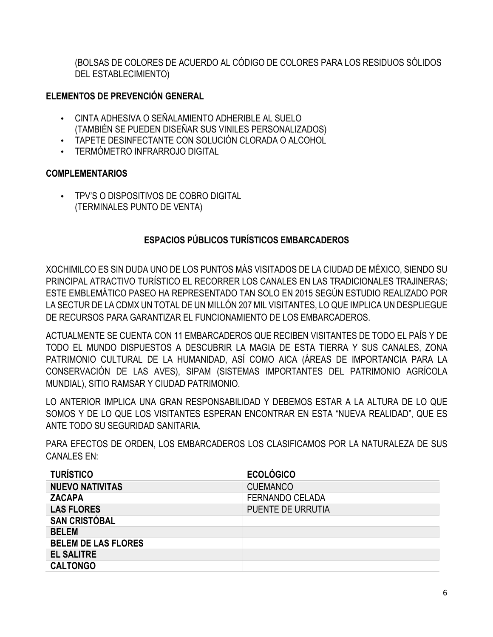(BOLSAS DE COLORES DE ACUERDO AL CÓDIGO DE COLORES PARA LOS RESIDUOS SÓLIDOS DEL ESTABLECIMIENTO)

#### **ELEMENTOS DE PREVENCIÓN GENERAL**

- CINTA ADHESIVA O SEÑALAMIENTO ADHERIBLE AL SUELO (TAMBIÉN SE PUEDEN DISEÑAR SUS VINILES PERSONALIZADOS)
- TAPETE DESINFECTANTE CON SOLUCIÓN CLORADA O ALCOHOL
- TERMÓMETRO INFRARROJO DIGITAL

#### **COMPLEMENTARIOS**

• TPV'S O DISPOSITIVOS DE COBRO DIGITAL (TERMINALES PUNTO DE VENTA)

# **ESPACIOS PÚBLICOS TURÍSTICOS EMBARCADEROS**

XOCHIMILCO ES SIN DUDA UNO DE LOS PUNTOS MÁS VISITADOS DE LA CIUDAD DE MÉXICO, SIENDO SU PRINCIPAL ATRACTIVO TURÍSTICO EL RECORRER LOS CANALES EN LAS TRADICIONALES TRAJINERAS; ESTE EMBLEMÁTICO PASEO HA REPRESENTADO TAN SOLO EN 2015 SEGÚN ESTUDIO REALIZADO POR LA SECTUR DE LA CDMX UN TOTAL DE UN MILLÓN 207 MIL VISITANTES, LO QUE IMPLICA UN DESPLIEGUE DE RECURSOS PARA GARANTIZAR EL FUNCIONAMIENTO DE LOS EMBARCADEROS.

ACTUALMENTE SE CUENTA CON 11 EMBARCADEROS QUE RECIBEN VISITANTES DE TODO EL PAÍS Y DE TODO EL MUNDO DISPUESTOS A DESCUBRIR LA MAGIA DE ESTA TIERRA Y SUS CANALES, ZONA PATRIMONIO CULTURAL DE LA HUMANIDAD, ASÍ COMO AICA (ÁREAS DE IMPORTANCIA PARA LA CONSERVACIÓN DE LAS AVES), SIPAM (SISTEMAS IMPORTANTES DEL PATRIMONIO AGRÍCOLA MUNDIAL), SITIO RAMSAR Y CIUDAD PATRIMONIO.

LO ANTERIOR IMPLICA UNA GRAN RESPONSABILIDAD Y DEBEMOS ESTAR A LA ALTURA DE LO QUE SOMOS Y DE LO QUE LOS VISITANTES ESPERAN ENCONTRAR EN ESTA "NUEVA REALIDAD", QUE ES ANTE TODO SU SEGURIDAD SANITARIA.

PARA EFECTOS DE ORDEN, LOS EMBARCADEROS LOS CLASIFICAMOS POR LA NATURALEZA DE SUS CANALES EN:

| <b>TURÍSTICO</b>           | <b>ECOLÓGICO</b>       |
|----------------------------|------------------------|
| <b>NUEVO NATIVITAS</b>     | <b>CUEMANCO</b>        |
| <b>ZACAPA</b>              | <b>FERNANDO CELADA</b> |
| <b>LAS FLORES</b>          | PUENTE DE URRUTIA      |
| <b>SAN CRISTÓBAL</b>       |                        |
| <b>BELEM</b>               |                        |
| <b>BELEM DE LAS FLORES</b> |                        |
| <b>EL SALITRE</b>          |                        |
| <b>CALTONGO</b>            |                        |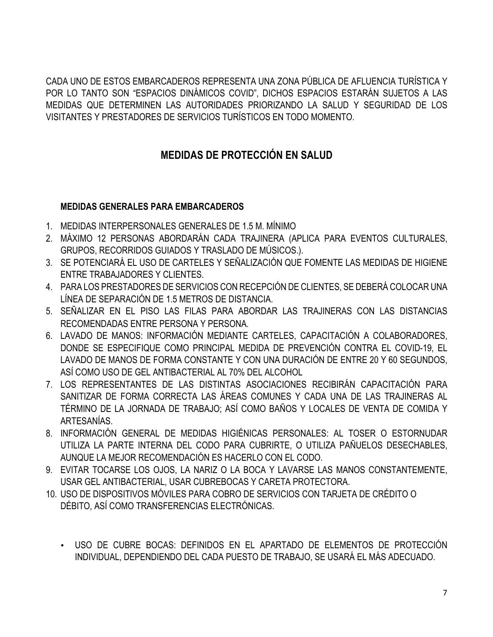CADA UNO DE ESTOS EMBARCADEROS REPRESENTA UNA ZONA PÚBLICA DE AFLUENCIA TURÍSTICA Y POR LO TANTO SON "ESPACIOS DINÁMICOS COVID", DICHOS ESPACIOS ESTARÁN SUJETOS A LAS MEDIDAS QUE DETERMINEN LAS AUTORIDADES PRIORIZANDO LA SALUD Y SEGURIDAD DE LOS VISITANTES Y PRESTADORES DE SERVICIOS TURÍSTICOS EN TODO MOMENTO.

# **MEDIDAS DE PROTECCIÓN EN SALUD**

# **MEDIDAS GENERALES PARA EMBARCADEROS**

- 1. MEDIDAS INTERPERSONALES GENERALES DE 1.5 M. MÍNIMO
- 2. MÁXIMO 12 PERSONAS ABORDARÁN CADA TRAJINERA (APLICA PARA EVENTOS CULTURALES, GRUPOS, RECORRIDOS GUIADOS Y TRASLADO DE MÚSICOS.).
- 3. SE POTENCIARÁ EL USO DE CARTELES Y SEÑALIZACIÓN QUE FOMENTE LAS MEDIDAS DE HIGIENE ENTRE TRABAJADORES Y CLIENTES.
- 4. PARA LOS PRESTADORES DE SERVICIOS CON RECEPCIÓN DE CLIENTES, SE DEBERÁ COLOCAR UNA LÍNEA DE SEPARACIÓN DE 1.5 METROS DE DISTANCIA.
- 5. SEÑALIZAR EN EL PISO LAS FILAS PARA ABORDAR LAS TRAJINERAS CON LAS DISTANCIAS RECOMENDADAS ENTRE PERSONA Y PERSONA.
- 6. LAVADO DE MANOS: INFORMACIÓN MEDIANTE CARTELES, CAPACITACIÓN A COLABORADORES, DONDE SE ESPECIFIQUE COMO PRINCIPAL MEDIDA DE PREVENCIÓN CONTRA EL COVID-19, EL LAVADO DE MANOS DE FORMA CONSTANTE Y CON UNA DURACIÓN DE ENTRE 20 Y 60 SEGUNDOS, ASÍ COMO USO DE GEL ANTIBACTERIAL AL 70% DEL ALCOHOL
- 7. LOS REPRESENTANTES DE LAS DISTINTAS ASOCIACIONES RECIBIRÁN CAPACITACIÓN PARA SANITIZAR DE FORMA CORRECTA LAS ÁREAS COMUNES Y CADA UNA DE LAS TRAJINERAS AL TÉRMINO DE LA JORNADA DE TRABAJO; ASÍ COMO BAÑOS Y LOCALES DE VENTA DE COMIDA Y ARTESANÍAS.
- 8. INFORMACIÓN GENERAL DE MEDIDAS HIGIÉNICAS PERSONALES: AL TOSER O ESTORNUDAR UTILIZA LA PARTE INTERNA DEL CODO PARA CUBRIRTE, O UTILIZA PAÑUELOS DESECHABLES, AUNQUE LA MEJOR RECOMENDACIÓN ES HACERLO CON EL CODO.
- 9. EVITAR TOCARSE LOS OJOS, LA NARIZ O LA BOCA Y LAVARSE LAS MANOS CONSTANTEMENTE, USAR GEL ANTIBACTERIAL, USAR CUBREBOCAS Y CARETA PROTECTORA.
- 10. USO DE DISPOSITIVOS MÓVILES PARA COBRO DE SERVICIOS CON TARJETA DE CRÉDITO O DÉBITO, ASÍ COMO TRANSFERENCIAS ELECTRÓNICAS.
	- USO DE CUBRE BOCAS: DEFINIDOS EN EL APARTADO DE ELEMENTOS DE PROTECCIÓN INDIVIDUAL, DEPENDIENDO DEL CADA PUESTO DE TRABAJO, SE USARÁ EL MÁS ADECUADO.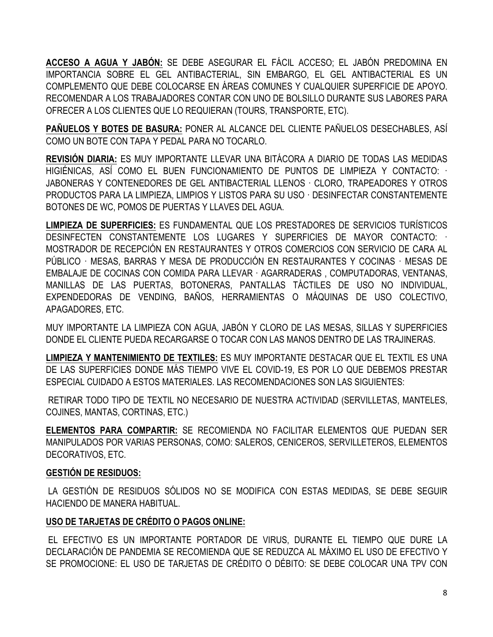**ACCESO A AGUA Y JABÓN:** SE DEBE ASEGURAR EL FÁCIL ACCESO; EL JABÓN PREDOMINA EN IMPORTANCIA SOBRE EL GEL ANTIBACTERIAL, SIN EMBARGO, EL GEL ANTIBACTERIAL ES UN COMPLEMENTO QUE DEBE COLOCARSE EN ÁREAS COMUNES Y CUALQUIER SUPERFICIE DE APOYO. RECOMENDAR A LOS TRABAJADORES CONTAR CON UNO DE BOLSILLO DURANTE SUS LABORES PARA OFRECER A LOS CLIENTES QUE LO REQUIERAN (TOURS, TRANSPORTE, ETC).

**PAÑUELOS Y BOTES DE BASURA:** PONER AL ALCANCE DEL CLIENTE PAÑUELOS DESECHABLES, ASÍ COMO UN BOTE CON TAPA Y PEDAL PARA NO TOCARLO.

**REVISIÓN DIARIA:** ES MUY IMPORTANTE LLEVAR UNA BITÁCORA A DIARIO DE TODAS LAS MEDIDAS HIGIÉNICAS, ASÍ COMO EL BUEN FUNCIONAMIENTO DE PUNTOS DE LIMPIEZA Y CONTACTO: · JABONERAS Y CONTENEDORES DE GEL ANTIBACTERIAL LLENOS · CLORO, TRAPEADORES Y OTROS PRODUCTOS PARA LA LIMPIEZA, LIMPIOS Y LISTOS PARA SU USO · DESINFECTAR CONSTANTEMENTE BOTONES DE WC, POMOS DE PUERTAS Y LLAVES DEL AGUA.

**LIMPIEZA DE SUPERFICIES:** ES FUNDAMENTAL QUE LOS PRESTADORES DE SERVICIOS TURÍSTICOS DESINFECTEN CONSTANTEMENTE LOS LUGARES Y SUPERFICIES DE MAYOR CONTACTO: · MOSTRADOR DE RECEPCIÓN EN RESTAURANTES Y OTROS COMERCIOS CON SERVICIO DE CARA AL PÚBLICO · MESAS, BARRAS Y MESA DE PRODUCCIÓN EN RESTAURANTES Y COCINAS · MESAS DE EMBALAJE DE COCINAS CON COMIDA PARA LLEVAR · AGARRADERAS , COMPUTADORAS, VENTANAS, MANILLAS DE LAS PUERTAS, BOTONERAS, PANTALLAS TÁCTILES DE USO NO INDIVIDUAL, EXPENDEDORAS DE VENDING, BAÑOS, HERRAMIENTAS O MÁQUINAS DE USO COLECTIVO, APAGADORES, ETC.

MUY IMPORTANTE LA LIMPIEZA CON AGUA, JABÓN Y CLORO DE LAS MESAS, SILLAS Y SUPERFICIES DONDE EL CLIENTE PUEDA RECARGARSE O TOCAR CON LAS MANOS DENTRO DE LAS TRAJINERAS.

**LIMPIEZA Y MANTENIMIENTO DE TEXTILES:** ES MUY IMPORTANTE DESTACAR QUE EL TEXTIL ES UNA DE LAS SUPERFICIES DONDE MÁS TIEMPO VIVE EL COVID-19, ES POR LO QUE DEBEMOS PRESTAR ESPECIAL CUIDADO A ESTOS MATERIALES. LAS RECOMENDACIONES SON LAS SIGUIENTES:

RETIRAR TODO TIPO DE TEXTIL NO NECESARIO DE NUESTRA ACTIVIDAD (SERVILLETAS, MANTELES, COJINES, MANTAS, CORTINAS, ETC.)

**ELEMENTOS PARA COMPARTIR:** SE RECOMIENDA NO FACILITAR ELEMENTOS QUE PUEDAN SER MANIPULADOS POR VARIAS PERSONAS, COMO: SALEROS, CENICEROS, SERVILLETEROS, ELEMENTOS DECORATIVOS, ETC.

# **GESTIÓN DE RESIDUOS:**

LA GESTIÓN DE RESIDUOS SÓLIDOS NO SE MODIFICA CON ESTAS MEDIDAS, SE DEBE SEGUIR HACIENDO DE MANERA HABITUAL.

#### **USO DE TARJETAS DE CRÉDITO O PAGOS ONLINE:**

EL EFECTIVO ES UN IMPORTANTE PORTADOR DE VIRUS, DURANTE EL TIEMPO QUE DURE LA DECLARACIÓN DE PANDEMIA SE RECOMIENDA QUE SE REDUZCA AL MÁXIMO EL USO DE EFECTIVO Y SE PROMOCIONE: EL USO DE TARJETAS DE CRÉDITO O DÉBITO: SE DEBE COLOCAR UNA TPV CON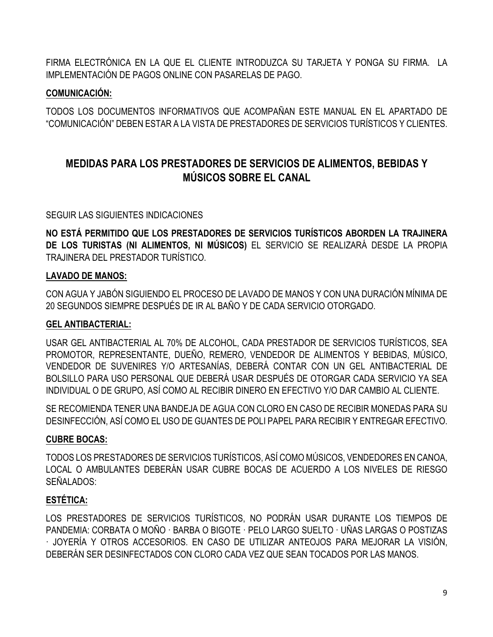FIRMA ELECTRÓNICA EN LA QUE EL CLIENTE INTRODUZCA SU TARJETA Y PONGA SU FIRMA. LA IMPLEMENTACIÓN DE PAGOS ONLINE CON PASARELAS DE PAGO.

#### **COMUNICACIÓN:**

TODOS LOS DOCUMENTOS INFORMATIVOS QUE ACOMPAÑAN ESTE MANUAL EN EL APARTADO DE "COMUNICACIÓN" DEBEN ESTAR A LA VISTA DE PRESTADORES DE SERVICIOS TURÍSTICOS Y CLIENTES.

# **MEDIDAS PARA LOS PRESTADORES DE SERVICIOS DE ALIMENTOS, BEBIDAS Y MÚSICOS SOBRE EL CANAL**

SEGUIR LAS SIGUIENTES INDICACIONES

**NO ESTÁ PERMITIDO QUE LOS PRESTADORES DE SERVICIOS TURÍSTICOS ABORDEN LA TRAJINERA DE LOS TURISTAS (NI ALIMENTOS, NI MÚSICOS)** EL SERVICIO SE REALIZARÁ DESDE LA PROPIA TRAJINERA DEL PRESTADOR TURÍSTICO.

#### **LAVADO DE MANOS:**

CON AGUA Y JABÓN SIGUIENDO EL PROCESO DE LAVADO DE MANOS Y CON UNA DURACIÓN MÍNIMA DE 20 SEGUNDOS SIEMPRE DESPUÉS DE IR AL BAÑO Y DE CADA SERVICIO OTORGADO.

#### **GEL ANTIBACTERIAL:**

USAR GEL ANTIBACTERIAL AL 70% DE ALCOHOL, CADA PRESTADOR DE SERVICIOS TURÍSTICOS, SEA PROMOTOR, REPRESENTANTE, DUEÑO, REMERO, VENDEDOR DE ALIMENTOS Y BEBIDAS, MÚSICO, VENDEDOR DE SUVENIRES Y/O ARTESANÍAS, DEBERÁ CONTAR CON UN GEL ANTIBACTERIAL DE BOLSILLO PARA USO PERSONAL QUE DEBERÁ USAR DESPUÉS DE OTORGAR CADA SERVICIO YA SEA INDIVIDUAL O DE GRUPO, ASÍ COMO AL RECIBIR DINERO EN EFECTIVO Y/O DAR CAMBIO AL CLIENTE.

SE RECOMIENDA TENER UNA BANDEJA DE AGUA CON CLORO EN CASO DE RECIBIR MONEDAS PARA SU DESINFECCIÓN, ASÍ COMO EL USO DE GUANTES DE POLI PAPEL PARA RECIBIR Y ENTREGAR EFECTIVO.

#### **CUBRE BOCAS:**

TODOS LOS PRESTADORES DE SERVICIOS TURÍSTICOS, ASÍ COMO MÚSICOS, VENDEDORES EN CANOA, LOCAL O AMBULANTES DEBERÁN USAR CUBRE BOCAS DE ACUERDO A LOS NIVELES DE RIESGO SEÑALADOS:

# **ESTÉTICA:**

LOS PRESTADORES DE SERVICIOS TURÍSTICOS, NO PODRÁN USAR DURANTE LOS TIEMPOS DE PANDEMIA: CORBATA O MOÑO · BARBA O BIGOTE · PELO LARGO SUELTO · UÑAS LARGAS O POSTIZAS · JOYERÍA Y OTROS ACCESORIOS. EN CASO DE UTILIZAR ANTEOJOS PARA MEJORAR LA VISIÓN, DEBERÁN SER DESINFECTADOS CON CLORO CADA VEZ QUE SEAN TOCADOS POR LAS MANOS.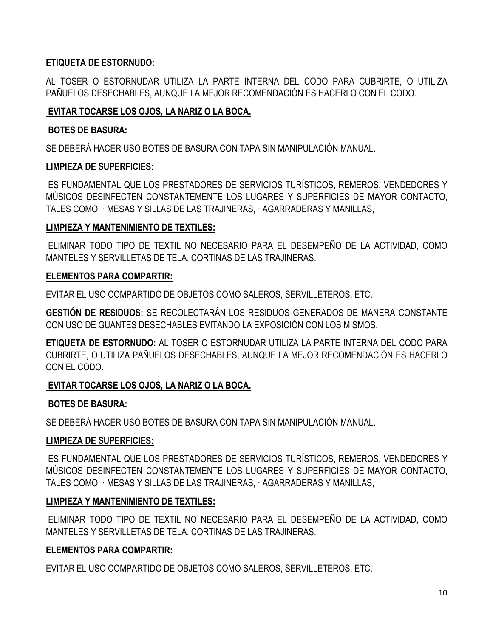# **ETIQUETA DE ESTORNUDO:**

AL TOSER O ESTORNUDAR UTILIZA LA PARTE INTERNA DEL CODO PARA CUBRIRTE, O UTILIZA PAÑUELOS DESECHABLES, AUNQUE LA MEJOR RECOMENDACIÓN ES HACERLO CON EL CODO.

#### **EVITAR TOCARSE LOS OJOS, LA NARIZ O LA BOCA.**

#### **BOTES DE BASURA:**

SE DEBERÁ HACER USO BOTES DE BASURA CON TAPA SIN MANIPULACIÓN MANUAL.

#### **LIMPIEZA DE SUPERFICIES:**

ES FUNDAMENTAL QUE LOS PRESTADORES DE SERVICIOS TURÍSTICOS, REMEROS, VENDEDORES Y MÚSICOS DESINFECTEN CONSTANTEMENTE LOS LUGARES Y SUPERFICIES DE MAYOR CONTACTO, TALES COMO: · MESAS Y SILLAS DE LAS TRAJINERAS, · AGARRADERAS Y MANILLAS,

#### **LIMPIEZA Y MANTENIMIENTO DE TEXTILES:**

ELIMINAR TODO TIPO DE TEXTIL NO NECESARIO PARA EL DESEMPEÑO DE LA ACTIVIDAD, COMO MANTELES Y SERVILLETAS DE TELA, CORTINAS DE LAS TRAJINERAS.

#### **ELEMENTOS PARA COMPARTIR:**

EVITAR EL USO COMPARTIDO DE OBJETOS COMO SALEROS, SERVILLETEROS, ETC.

**GESTIÓN DE RESIDUOS:** SE RECOLECTARÁN LOS RESIDUOS GENERADOS DE MANERA CONSTANTE CON USO DE GUANTES DESECHABLES EVITANDO LA EXPOSICIÓN CON LOS MISMOS.

**ETIQUETA DE ESTORNUDO:** AL TOSER O ESTORNUDAR UTILIZA LA PARTE INTERNA DEL CODO PARA CUBRIRTE, O UTILIZA PAÑUELOS DESECHABLES, AUNQUE LA MEJOR RECOMENDACIÓN ES HACERLO CON EL CODO.

# **EVITAR TOCARSE LOS OJOS, LA NARIZ O LA BOCA.**

#### **BOTES DE BASURA:**

SE DEBERÁ HACER USO BOTES DE BASURA CON TAPA SIN MANIPULACIÓN MANUAL.

# **LIMPIEZA DE SUPERFICIES:**

ES FUNDAMENTAL QUE LOS PRESTADORES DE SERVICIOS TURÍSTICOS, REMEROS, VENDEDORES Y MÚSICOS DESINFECTEN CONSTANTEMENTE LOS LUGARES Y SUPERFICIES DE MAYOR CONTACTO, TALES COMO: · MESAS Y SILLAS DE LAS TRAJINERAS, · AGARRADERAS Y MANILLAS,

# **LIMPIEZA Y MANTENIMIENTO DE TEXTILES:**

ELIMINAR TODO TIPO DE TEXTIL NO NECESARIO PARA EL DESEMPEÑO DE LA ACTIVIDAD, COMO MANTELES Y SERVILLETAS DE TELA, CORTINAS DE LAS TRAJINERAS.

# **ELEMENTOS PARA COMPARTIR:**

EVITAR EL USO COMPARTIDO DE OBJETOS COMO SALEROS, SERVILLETEROS, ETC.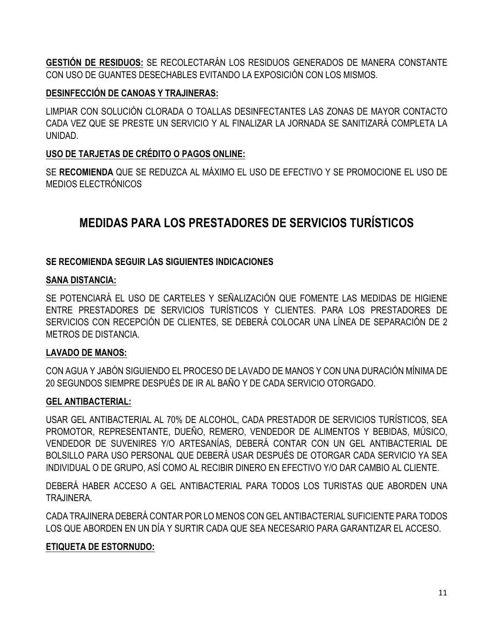**GESTIÓN DE RESIDUOS:** SE RECOLECTARÁN LOS RESIDUOS GENERADOS DE MANERA CONSTANTE CON USO DE GUANTES DESECHABLES EVITANDO LA EXPOSICIÓN CON LOS MISMOS.

#### **DESINFECCIÓN DE CANOAS Y TRAJINERAS:**

LIMPIAR CON SOLUCIÓN CLORADA O TOALLAS DESINFECTANTES LAS ZONAS DE MAYOR CONTACTO CADA VEZ QUE SE PRESTE UN SERVICIO Y AL FINALIZAR LA JORNADA SE SANITIZARÁ COMPLETA LA UNIDAD.

# **USO DE TARJETAS DE CRÉDITO O PAGOS ONLINE:**

SE **RECOMIENDA** QUE SE REDUZCA AL MÁXIMO EL USO DE EFECTIVO Y SE PROMOCIONE EL USO DE MEDIOS ELECTRÓNICOS

# **MEDIDAS PARA LOS PRESTADORES DE SERVICIOS TURÍSTICOS**

# **SE RECOMIENDA SEGUIR LAS SIGUIENTES INDICACIONES**

#### **SANA DISTANCIA:**

SE POTENCIARÁ EL USO DE CARTELES Y SEÑALIZACIÓN QUE FOMENTE LAS MEDIDAS DE HIGIENE ENTRE PRESTADORES DE SERVICIOS TURÍSTICOS Y CLIENTES. PARA LOS PRESTADORES DE SERVICIOS CON RECEPCIÓN DE CLIENTES, SE DEBERÁ COLOCAR UNA LÍNEA DE SEPARACIÓN DE 2 METROS DE DISTANCIA.

# **LAVADO DE MANOS:**

CON AGUA Y JABÓN SIGUIENDO EL PROCESO DE LAVADO DE MANOS Y CON UNA DURACIÓN MÍNIMA DE 20 SEGUNDOS SIEMPRE DESPUÉS DE IR AL BAÑO Y DE CADA SERVICIO OTORGADO.

# **GEL ANTIBACTERIAL:**

USAR GEL ANTIBACTERIAL AL 70% DE ALCOHOL, CADA PRESTADOR DE SERVICIOS TURÍSTICOS, SEA PROMOTOR, REPRESENTANTE, DUEÑO, REMERO, VENDEDOR DE ALIMENTOS Y BEBIDAS, MÚSICO, VENDEDOR DE SUVENIRES Y/O ARTESANÍAS, DEBERÁ CONTAR CON UN GEL ANTIBACTERIAL DE BOLSILLO PARA USO PERSONAL QUE DEBERÁ USAR DESPUÉS DE OTORGAR CADA SERVICIO YA SEA INDIVIDUAL O DE GRUPO, ASÍ COMO AL RECIBIR DINERO EN EFECTIVO Y/O DAR CAMBIO AL CLIENTE.

DEBERÁ HABER ACCESO A GEL ANTIBACTERIAL PARA TODOS LOS TURISTAS QUE ABORDEN UNA TRAJINERA.

CADA TRAJINERA DEBERÁ CONTAR POR LO MENOS CON GEL ANTIBACTERIAL SUFICIENTE PARA TODOS LOS QUE ABORDEN EN UN DÍA Y SURTIR CADA QUE SEA NECESARIO PARA GARANTIZAR EL ACCESO.

# **ETIQUETA DE ESTORNUDO:**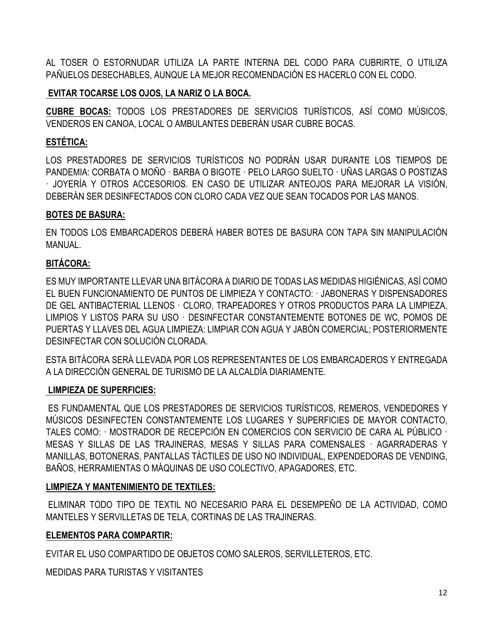AL TOSER O ESTORNUDAR UTILIZA LA PARTE INTERNA DEL CODO PARA CUBRIRTE, O UTILIZA PAÑUELOS DESECHABLES, AUNQUE LA MEJOR RECOMENDACIÓN ES HACERLO CON EL CODO.

# **EVITAR TOCARSE LOS OJOS, LA NARIZ O LA BOCA.**

**CUBRE BOCAS:** TODOS LOS PRESTADORES DE SERVICIOS TURÍSTICOS, ASÍ COMO MÚSICOS, VENDEROS EN CANOA, LOCAL O AMBULANTES DEBERÁN USAR CUBRE BOCAS.

# **ESTÉTICA:**

LOS PRESTADORES DE SERVICIOS TURÍSTICOS NO PODRÁN USAR DURANTE LOS TIEMPOS DE PANDEMIA: CORBATA O MOÑO · BARBA O BIGOTE · PELO LARGO SUELTO · UÑAS LARGAS O POSTIZAS · JOYERÍA Y OTROS ACCESORIOS. EN CASO DE UTILIZAR ANTEOJOS PARA MEJORAR LA VISIÓN, DEBERÁN SER DESINFECTADOS CON CLORO CADA VEZ QUE SEAN TOCADOS POR LAS MANOS.

# **BOTES DE BASURA:**

EN TODOS LOS EMBARCADEROS DEBERÁ HABER BOTES DE BASURA CON TAPA SIN MANIPULACIÓN MANUAL.

# **BITÁCORA:**

ES MUY IMPORTANTE LLEVAR UNA BITÁCORA A DIARIO DE TODAS LAS MEDIDAS HIGIÉNICAS, ASÍ COMO EL BUEN FUNCIONAMIENTO DE PUNTOS DE LIMPIEZA Y CONTACTO: · JABONERAS Y DISPENSADORES DE GEL ANTIBACTERIAL LLENOS · CLORO, TRAPEADORES Y OTROS PRODUCTOS PARA LA LIMPIEZA, LIMPIOS Y LISTOS PARA SU USO · DESINFECTAR CONSTANTEMENTE BOTONES DE WC, POMOS DE PUERTAS Y LLAVES DEL AGUA LIMPIEZA: LIMPIAR CON AGUA Y JABÓN COMERCIAL; POSTERIORMENTE DESINFECTAR CON SOLUCIÓN CLORADA.

ESTA BITÁCORA SERÁ LLEVADA POR LOS REPRESENTANTES DE LOS EMBARCADEROS Y ENTREGADA A LA DIRECCIÓN GENERAL DE TURISMO DE LA ALCALDÍA DIARIAMENTE.

# **LIMPIEZA DE SUPERFICIES:**

ES FUNDAMENTAL QUE LOS PRESTADORES DE SERVICIOS TURÍSTICOS, REMEROS, VENDEDORES Y MÚSICOS DESINFECTEN CONSTANTEMENTE LOS LUGARES Y SUPERFICIES DE MAYOR CONTACTO, TALES COMO: · MOSTRADOR DE RECEPCIÓN EN COMERCIOS CON SERVICIO DE CARA AL PÚBLICO · MESAS Y SILLAS DE LAS TRAJINERAS, MESAS Y SILLAS PARA COMENSALES · AGARRADERAS Y MANILLAS, BOTONERAS, PANTALLAS TÁCTILES DE USO NO INDIVIDUAL, EXPENDEDORAS DE VENDING, BAÑOS, HERRAMIENTAS O MÁQUINAS DE USO COLECTIVO, APAGADORES, ETC.

# **LIMPIEZA Y MANTENIMIENTO DE TEXTILES:**

ELIMINAR TODO TIPO DE TEXTIL NO NECESARIO PARA EL DESEMPEÑO DE LA ACTIVIDAD, COMO MANTELES Y SERVILLETAS DE TELA, CORTINAS DE LAS TRAJINERAS.

# **ELEMENTOS PARA COMPARTIR:**

EVITAR EL USO COMPARTIDO DE OBJETOS COMO SALEROS, SERVILLETEROS, ETC.

MEDIDAS PARA TURISTAS Y VISITANTES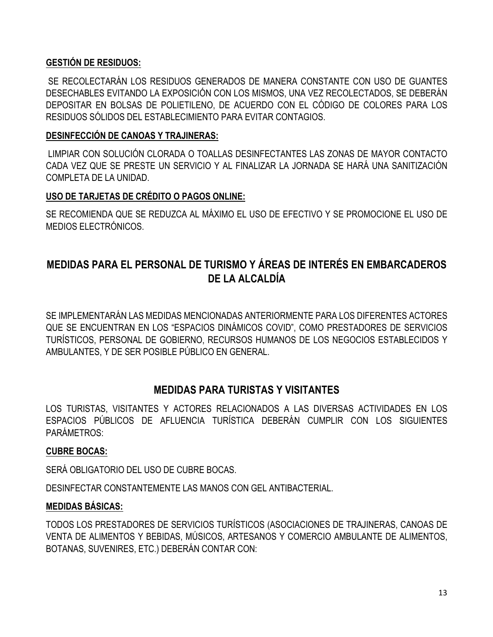# **GESTIÓN DE RESIDUOS:**

SE RECOLECTARÁN LOS RESIDUOS GENERADOS DE MANERA CONSTANTE CON USO DE GUANTES DESECHABLES EVITANDO LA EXPOSICIÓN CON LOS MISMOS, UNA VEZ RECOLECTADOS, SE DEBERÁN DEPOSITAR EN BOLSAS DE POLIETILENO, DE ACUERDO CON EL CÓDIGO DE COLORES PARA LOS RESIDUOS SÓLIDOS DEL ESTABLECIMIENTO PARA EVITAR CONTAGIOS.

#### **DESINFECCIÓN DE CANOAS Y TRAJINERAS:**

LIMPIAR CON SOLUCIÓN CLORADA O TOALLAS DESINFECTANTES LAS ZONAS DE MAYOR CONTACTO CADA VEZ QUE SE PRESTE UN SERVICIO Y AL FINALIZAR LA JORNADA SE HARÁ UNA SANITIZACIÓN COMPLETA DE LA UNIDAD.

# **USO DE TARJETAS DE CRÉDITO O PAGOS ONLINE:**

SE RECOMIENDA QUE SE REDUZCA AL MÁXIMO EL USO DE EFECTIVO Y SE PROMOCIONE EL USO DE MEDIOS ELECTRÓNICOS.

# **MEDIDAS PARA EL PERSONAL DE TURISMO Y ÁREAS DE INTERÉS EN EMBARCADEROS DE LA ALCALDÍA**

SE IMPLEMENTARÁN LAS MEDIDAS MENCIONADAS ANTERIORMENTE PARA LOS DIFERENTES ACTORES QUE SE ENCUENTRAN EN LOS "ESPACIOS DINÁMICOS COVID", COMO PRESTADORES DE SERVICIOS TURÍSTICOS, PERSONAL DE GOBIERNO, RECURSOS HUMANOS DE LOS NEGOCIOS ESTABLECIDOS Y AMBULANTES, Y DE SER POSIBLE PÚBLICO EN GENERAL.

# **MEDIDAS PARA TURISTAS Y VISITANTES**

LOS TURISTAS, VISITANTES Y ACTORES RELACIONADOS A LAS DIVERSAS ACTIVIDADES EN LOS ESPACIOS PÚBLICOS DE AFLUENCIA TURÍSTICA DEBERÁN CUMPLIR CON LOS SIGUIENTES PARÁMETROS:

#### **CUBRE BOCAS:**

SERÁ OBLIGATORIO DEL USO DE CUBRE BOCAS.

DESINFECTAR CONSTANTEMENTE LAS MANOS CON GEL ANTIBACTERIAL.

# **MEDIDAS BÁSICAS:**

TODOS LOS PRESTADORES DE SERVICIOS TURÍSTICOS (ASOCIACIONES DE TRAJINERAS, CANOAS DE VENTA DE ALIMENTOS Y BEBIDAS, MÚSICOS, ARTESANOS Y COMERCIO AMBULANTE DE ALIMENTOS, BOTANAS, SUVENIRES, ETC.) DEBERÁN CONTAR CON: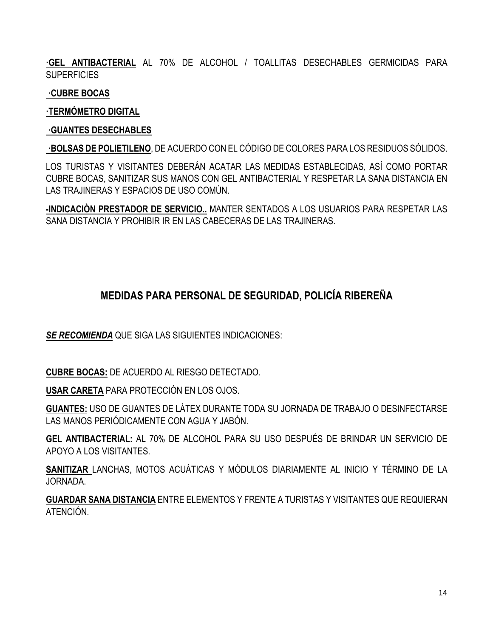**·GEL ANTIBACTERIAL** AL 70% DE ALCOHOL / TOALLITAS DESECHABLES GERMICIDAS PARA **SUPERFICIES** 

**·CUBRE BOCAS**

**·TERMÓMETRO DIGITAL**

#### **·GUANTES DESECHABLES**

**·BOLSAS DE POLIETILENO**, DE ACUERDO CON EL CÓDIGO DE COLORES PARA LOS RESIDUOS SÓLIDOS.

LOS TURISTAS Y VISITANTES DEBERÁN ACATAR LAS MEDIDAS ESTABLECIDAS, ASÍ COMO PORTAR CUBRE BOCAS, SANITIZAR SUS MANOS CON GEL ANTIBACTERIAL Y RESPETAR LA SANA DISTANCIA EN LAS TRAJINERAS Y ESPACIOS DE USO COMÚN.

**-INDICACIÒN PRESTADOR DE SERVICIO..** MANTER SENTADOS A LOS USUARIOS PARA RESPETAR LAS SANA DISTANCIA Y PROHIBIR IR EN LAS CABECERAS DE LAS TRAJINERAS.

# **MEDIDAS PARA PERSONAL DE SEGURIDAD, POLICÍA RIBEREÑA**

*SE RECOMIENDA* QUE SIGA LAS SIGUIENTES INDICACIONES:

**CUBRE BOCAS:** DE ACUERDO AL RIESGO DETECTADO.

**USAR CARETA** PARA PROTECCIÓN EN LOS OJOS.

**GUANTES:** USO DE GUANTES DE LÁTEX DURANTE TODA SU JORNADA DE TRABAJO O DESINFECTARSE LAS MANOS PERIÓDICAMENTE CON AGUA Y JABÓN.

**GEL ANTIBACTERIAL:** AL 70% DE ALCOHOL PARA SU USO DESPUÉS DE BRINDAR UN SERVICIO DE APOYO A LOS VISITANTES.

**SANITIZAR** LANCHAS, MOTOS ACUÁTICAS Y MÓDULOS DIARIAMENTE AL INICIO Y TÉRMINO DE LA JORNADA.

**GUARDAR SANA DISTANCIA** ENTRE ELEMENTOS Y FRENTE A TURISTAS Y VISITANTES QUE REQUIERAN ATENCIÓN.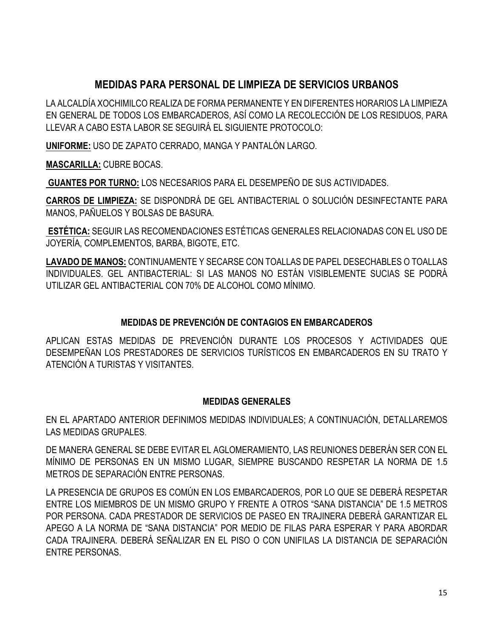# **MEDIDAS PARA PERSONAL DE LIMPIEZA DE SERVICIOS URBANOS**

LA ALCALDÍA XOCHIMILCO REALIZA DE FORMA PERMANENTE Y EN DIFERENTES HORARIOS LA LIMPIEZA EN GENERAL DE TODOS LOS EMBARCADEROS, ASÍ COMO LA RECOLECCIÓN DE LOS RESIDUOS, PARA LLEVAR A CABO ESTA LABOR SE SEGUIRÁ EL SIGUIENTE PROTOCOLO:

**UNIFORME:** USO DE ZAPATO CERRADO, MANGA Y PANTALÓN LARGO.

**MASCARILLA:** CUBRE BOCAS.

**GUANTES POR TURNO:** LOS NECESARIOS PARA EL DESEMPEÑO DE SUS ACTIVIDADES.

**CARROS DE LIMPIEZA:** SE DISPONDRÁ DE GEL ANTIBACTERIAL O SOLUCIÓN DESINFECTANTE PARA MANOS, PAÑUELOS Y BOLSAS DE BASURA.

**ESTÉTICA:** SEGUIR LAS RECOMENDACIONES ESTÉTICAS GENERALES RELACIONADAS CON EL USO DE JOYERÍA, COMPLEMENTOS, BARBA, BIGOTE, ETC.

**LAVADO DE MANOS:** CONTINUAMENTE Y SECARSE CON TOALLAS DE PAPEL DESECHABLES O TOALLAS INDIVIDUALES. GEL ANTIBACTERIAL: SI LAS MANOS NO ESTÁN VISIBLEMENTE SUCIAS SE PODRÁ UTILIZAR GEL ANTIBACTERIAL CON 70% DE ALCOHOL COMO MÍNIMO.

# **MEDIDAS DE PREVENCIÓN DE CONTAGIOS EN EMBARCADEROS**

APLICAN ESTAS MEDIDAS DE PREVENCIÓN DURANTE LOS PROCESOS Y ACTIVIDADES QUE DESEMPEÑAN LOS PRESTADORES DE SERVICIOS TURÍSTICOS EN EMBARCADEROS EN SU TRATO Y ATENCIÓN A TURISTAS Y VISITANTES.

# **MEDIDAS GENERALES**

EN EL APARTADO ANTERIOR DEFINIMOS MEDIDAS INDIVIDUALES; A CONTINUACIÓN, DETALLAREMOS LAS MEDIDAS GRUPALES.

DE MANERA GENERAL SE DEBE EVITAR EL AGLOMERAMIENTO, LAS REUNIONES DEBERÁN SER CON EL MÍNIMO DE PERSONAS EN UN MISMO LUGAR, SIEMPRE BUSCANDO RESPETAR LA NORMA DE 1.5 METROS DE SEPARACIÓN ENTRE PERSONAS.

LA PRESENCIA DE GRUPOS ES COMÚN EN LOS EMBARCADEROS, POR LO QUE SE DEBERÁ RESPETAR ENTRE LOS MIEMBROS DE UN MISMO GRUPO Y FRENTE A OTROS "SANA DISTANCIA" DE 1.5 METROS POR PERSONA. CADA PRESTADOR DE SERVICIOS DE PASEO EN TRAJINERA DEBERÁ GARANTIZAR EL APEGO A LA NORMA DE "SANA DISTANCIA" POR MEDIO DE FILAS PARA ESPERAR Y PARA ABORDAR CADA TRAJINERA. DEBERÁ SEÑALIZAR EN EL PISO O CON UNIFILAS LA DISTANCIA DE SEPARACIÓN ENTRE PERSONAS.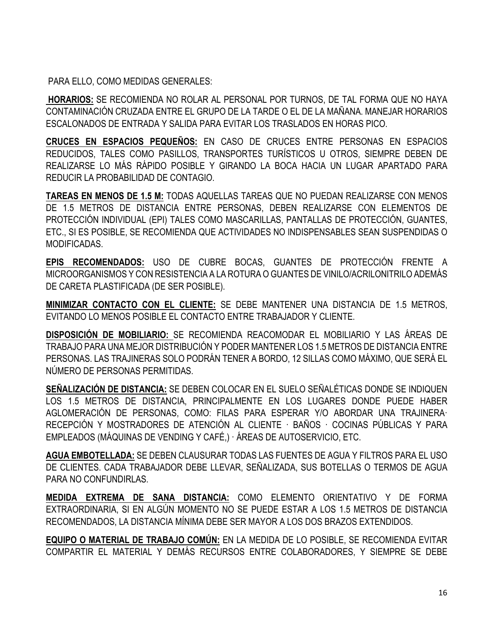PARA ELLO, COMO MEDIDAS GENERALES:

**HORARIOS:** SE RECOMIENDA NO ROLAR AL PERSONAL POR TURNOS, DE TAL FORMA QUE NO HAYA CONTAMINACIÓN CRUZADA ENTRE EL GRUPO DE LA TARDE O EL DE LA MAÑANA. MANEJAR HORARIOS ESCALONADOS DE ENTRADA Y SALIDA PARA EVITAR LOS TRASLADOS EN HORAS PICO.

**CRUCES EN ESPACIOS PEQUEÑOS:** EN CASO DE CRUCES ENTRE PERSONAS EN ESPACIOS REDUCIDOS, TALES COMO PASILLOS, TRANSPORTES TURÍSTICOS U OTROS, SIEMPRE DEBEN DE REALIZARSE LO MÁS RÁPIDO POSIBLE Y GIRANDO LA BOCA HACIA UN LUGAR APARTADO PARA REDUCIR LA PROBABILIDAD DE CONTAGIO.

**TAREAS EN MENOS DE 1.5 M:** TODAS AQUELLAS TAREAS QUE NO PUEDAN REALIZARSE CON MENOS DE 1.5 METROS DE DISTANCIA ENTRE PERSONAS, DEBEN REALIZARSE CON ELEMENTOS DE PROTECCIÓN INDIVIDUAL (EPI) TALES COMO MASCARILLAS, PANTALLAS DE PROTECCIÓN, GUANTES, ETC., SI ES POSIBLE, SE RECOMIENDA QUE ACTIVIDADES NO INDISPENSABLES SEAN SUSPENDIDAS O MODIFICADAS.

**EPIS RECOMENDADOS:** USO DE CUBRE BOCAS, GUANTES DE PROTECCIÓN FRENTE A MICROORGANISMOS Y CON RESISTENCIA A LA ROTURA O GUANTES DE VINILO/ACRILONITRILO ADEMÁS DE CARETA PLASTIFICADA (DE SER POSIBLE).

**MINIMIZAR CONTACTO CON EL CLIENTE:** SE DEBE MANTENER UNA DISTANCIA DE 1.5 METROS, EVITANDO LO MENOS POSIBLE EL CONTACTO ENTRE TRABAJADOR Y CLIENTE.

**DISPOSICIÓN DE MOBILIARIO:** SE RECOMIENDA REACOMODAR EL MOBILIARIO Y LAS ÁREAS DE TRABAJO PARA UNA MEJOR DISTRIBUCIÓN Y PODER MANTENER LOS 1.5 METROS DE DISTANCIA ENTRE PERSONAS. LAS TRAJINERAS SOLO PODRÁN TENER A BORDO, 12 SILLAS COMO MÁXIMO, QUE SERÁ EL NÚMERO DE PERSONAS PERMITIDAS.

**SEÑALIZACIÓN DE DISTANCIA:** SE DEBEN COLOCAR EN EL SUELO SEÑALÉTICAS DONDE SE INDIQUEN LOS 1.5 METROS DE DISTANCIA, PRINCIPALMENTE EN LOS LUGARES DONDE PUEDE HABER AGLOMERACIÓN DE PERSONAS, COMO: FILAS PARA ESPERAR Y/O ABORDAR UNA TRAJINERA· RECEPCIÓN Y MOSTRADORES DE ATENCIÓN AL CLIENTE · BAÑOS · COCINAS PÚBLICAS Y PARA EMPLEADOS (MÁQUINAS DE VENDING Y CAFÉ,) · ÁREAS DE AUTOSERVICIO, ETC.

**AGUA EMBOTELLADA:** SE DEBEN CLAUSURAR TODAS LAS FUENTES DE AGUA Y FILTROS PARA EL USO DE CLIENTES. CADA TRABAJADOR DEBE LLEVAR, SEÑALIZADA, SUS BOTELLAS O TERMOS DE AGUA PARA NO CONFUNDIRLAS.

**MEDIDA EXTREMA DE SANA DISTANCIA:** COMO ELEMENTO ORIENTATIVO Y DE FORMA EXTRAORDINARIA, SI EN ALGÚN MOMENTO NO SE PUEDE ESTAR A LOS 1.5 METROS DE DISTANCIA RECOMENDADOS, LA DISTANCIA MÍNIMA DEBE SER MAYOR A LOS DOS BRAZOS EXTENDIDOS.

**EQUIPO O MATERIAL DE TRABAJO COMÚN:** EN LA MEDIDA DE LO POSIBLE, SE RECOMIENDA EVITAR COMPARTIR EL MATERIAL Y DEMÁS RECURSOS ENTRE COLABORADORES, Y SIEMPRE SE DEBE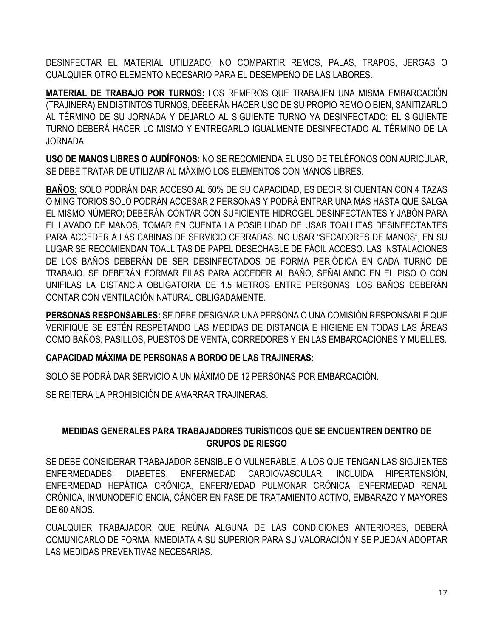DESINFECTAR EL MATERIAL UTILIZADO. NO COMPARTIR REMOS, PALAS, TRAPOS, JERGAS O CUALQUIER OTRO ELEMENTO NECESARIO PARA EL DESEMPEÑO DE LAS LABORES.

**MATERIAL DE TRABAJO POR TURNOS:** LOS REMEROS QUE TRABAJEN UNA MISMA EMBARCACIÓN (TRAJINERA) EN DISTINTOS TURNOS, DEBERÁN HACER USO DE SU PROPIO REMO O BIEN, SANITIZARLO AL TÉRMINO DE SU JORNADA Y DEJARLO AL SIGUIENTE TURNO YA DESINFECTADO; EL SIGUIENTE TURNO DEBERÁ HACER LO MISMO Y ENTREGARLO IGUALMENTE DESINFECTADO AL TÉRMINO DE LA JORNADA.

**USO DE MANOS LIBRES O AUDÍFONOS:** NO SE RECOMIENDA EL USO DE TELÉFONOS CON AURICULAR, SE DEBE TRATAR DE UTILIZAR AL MÁXIMO LOS ELEMENTOS CON MANOS LIBRES.

**BAÑOS:** SOLO PODRÁN DAR ACCESO AL 50% DE SU CAPACIDAD, ES DECIR SI CUENTAN CON 4 TAZAS O MINGITORIOS SOLO PODRÁN ACCESAR 2 PERSONAS Y PODRÁ ENTRAR UNA MÁS HASTA QUE SALGA EL MISMO NÚMERO; DEBERÁN CONTAR CON SUFICIENTE HIDROGEL DESINFECTANTES Y JABÓN PARA EL LAVADO DE MANOS, TOMAR EN CUENTA LA POSIBILIDAD DE USAR TOALLITAS DESINFECTANTES PARA ACCEDER A LAS CABINAS DE SERVICIO CERRADAS. NO USAR "SECADORES DE MANOS", EN SU LUGAR SE RECOMIENDAN TOALLITAS DE PAPEL DESECHABLE DE FÁCIL ACCESO. LAS INSTALACIONES DE LOS BAÑOS DEBERÁN DE SER DESINFECTADOS DE FORMA PERIÓDICA EN CADA TURNO DE TRABAJO. SE DEBERÁN FORMAR FILAS PARA ACCEDER AL BAÑO, SEÑALANDO EN EL PISO O CON UNIFILAS LA DISTANCIA OBLIGATORIA DE 1.5 METROS ENTRE PERSONAS. LOS BAÑOS DEBERÁN CONTAR CON VENTILACIÓN NATURAL OBLIGADAMENTE.

**PERSONAS RESPONSABLES:** SE DEBE DESIGNAR UNA PERSONA O UNA COMISIÓN RESPONSABLE QUE VERIFIQUE SE ESTÉN RESPETANDO LAS MEDIDAS DE DISTANCIA E HIGIENE EN TODAS LAS ÁREAS COMO BAÑOS, PASILLOS, PUESTOS DE VENTA, CORREDORES Y EN LAS EMBARCACIONES Y MUELLES.

# **CAPACIDAD MÁXIMA DE PERSONAS A BORDO DE LAS TRAJINERAS:**

SOLO SE PODRÁ DAR SERVICIO A UN MÁXIMO DE 12 PERSONAS POR EMBARCACIÓN.

SE REITERA LA PROHIBICIÓN DE AMARRAR TRAJINERAS.

# **MEDIDAS GENERALES PARA TRABAJADORES TURÍSTICOS QUE SE ENCUENTREN DENTRO DE GRUPOS DE RIESGO**

SE DEBE CONSIDERAR TRABAJADOR SENSIBLE O VULNERABLE, A LOS QUE TENGAN LAS SIGUIENTES ENFERMEDADES: DIABETES, ENFERMEDAD CARDIOVASCULAR, INCLUIDA HIPERTENSIÓN, ENFERMEDAD HEPÁTICA CRÓNICA, ENFERMEDAD PULMONAR CRÓNICA, ENFERMEDAD RENAL CRÓNICA, INMUNODEFICIENCIA, CÁNCER EN FASE DE TRATAMIENTO ACTIVO, EMBARAZO Y MAYORES DE 60 AÑOS.

CUALQUIER TRABAJADOR QUE REÚNA ALGUNA DE LAS CONDICIONES ANTERIORES, DEBERÁ COMUNICARLO DE FORMA INMEDIATA A SU SUPERIOR PARA SU VALORACIÓN Y SE PUEDAN ADOPTAR LAS MEDIDAS PREVENTIVAS NECESARIAS.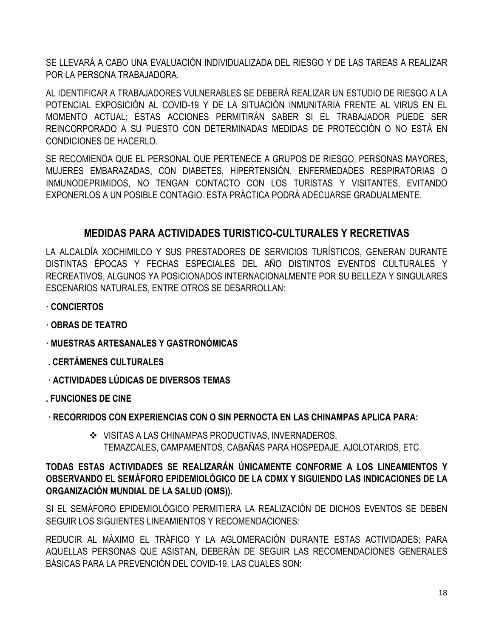SE LLEVARÁ A CABO UNA EVALUACIÓN INDIVIDUALIZADA DEL RIESGO Y DE LAS TAREAS A REALIZAR POR LA PERSONA TRABAJADORA.

AL IDENTIFICAR A TRABAJADORES VULNERABLES SE DEBERÁ REALIZAR UN ESTUDIO DE RIESGO A LA POTENCIAL EXPOSICIÓN AL COVID-19 Y DE LA SITUACIÓN INMUNITARIA FRENTE AL VIRUS EN EL MOMENTO ACTUAL; ESTAS ACCIONES PERMITIRÁN SABER SI EL TRABAJADOR PUEDE SER REINCORPORADO A SU PUESTO CON DETERMINADAS MEDIDAS DE PROTECCIÓN O NO ESTÁ EN CONDICIONES DE HACERLO.

SE RECOMIENDA QUE EL PERSONAL QUE PERTENECE A GRUPOS DE RIESGO, PERSONAS MAYORES, MUJERES EMBARAZADAS, CON DIABETES, HIPERTENSIÓN, ENFERMEDADES RESPIRATORIAS O INMUNODEPRIMIDOS, NO TENGAN CONTACTO CON LOS TURISTAS Y VISITANTES, EVITANDO EXPONERLOS A UN POSIBLE CONTAGIO. ESTA PRÁCTICA PODRÁ ADECUARSE GRADUALMENTE.

# **MEDIDAS PARA ACTIVIDADES TURISTICO-CULTURALES Y RECRETIVAS**

LA ALCALDÍA XOCHIMILCO Y SUS PRESTADORES DE SERVICIOS TURÍSTICOS, GENERAN DURANTE DISTINTAS ÉPOCAS Y FECHAS ESPECIALES DEL AÑO DISTINTOS EVENTOS CULTURALES Y RECREATIVOS, ALGUNOS YA POSICIONADOS INTERNACIONALMENTE POR SU BELLEZA Y SINGULARES ESCENARIOS NATURALES, ENTRE OTROS SE DESARROLLAN:

- **· CONCIERTOS**
- **· OBRAS DE TEATRO**
- **· MUESTRAS ARTESANALES Y GASTRONÓMICAS**
- **. CERTÁMENES CULTURALES**
- **· ACTIVIDADES LÚDICAS DE DIVERSOS TEMAS**
- **. FUNCIONES DE CINE**
- **· RECORRIDOS CON EXPERIENCIAS CON O SIN PERNOCTA EN LAS CHINAMPAS APLICA PARA:**
	- ❖ VISITAS A LAS CHINAMPAS PRODUCTIVAS, INVERNADEROS, TEMAZCALES, CAMPAMENTOS, CABAÑAS PARA HOSPEDAJE, AJOLOTARIOS, ETC.

# **TODAS ESTAS ACTIVIDADES SE REALIZARÁN ÚNICAMENTE CONFORME A LOS LINEAMIENTOS Y OBSERVANDO EL SEMÁFORO EPIDEMIOLÓGICO DE LA CDMX Y SIGUIENDO LAS INDICACIONES DE LA ORGANIZACIÓN MUNDIAL DE LA SALUD (OMS)).**

SI EL SEMÁFORO EPIDEMIOLÓGICO PERMITIERA LA REALIZACIÓN DE DICHOS EVENTOS SE DEBEN SEGUIR LOS SIGUIENTES LINEAMIENTOS Y RECOMENDACIONES:

REDUCIR AL MÁXIMO EL TRÁFICO Y LA AGLOMERACIÓN DURANTE ESTAS ACTIVIDADES; PARA AQUELLAS PERSONAS QUE ASISTAN, DEBERÁN DE SEGUIR LAS RECOMENDACIONES GENERALES BÁSICAS PARA LA PREVENCIÓN DEL COVID-19, LAS CUALES SON: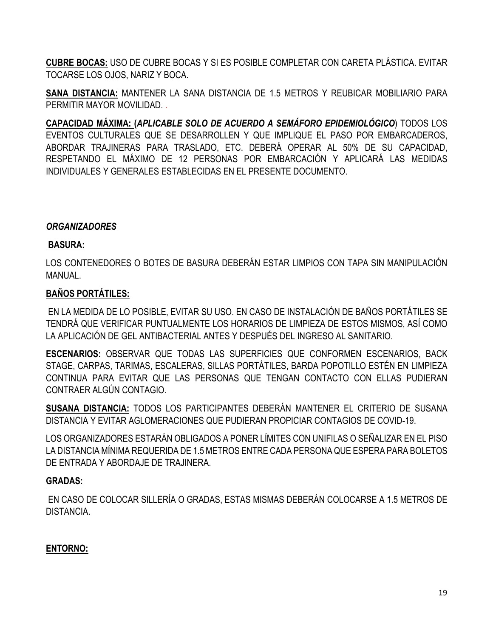**CUBRE BOCAS:** USO DE CUBRE BOCAS Y SI ES POSIBLE COMPLETAR CON CARETA PLÁSTICA. EVITAR TOCARSE LOS OJOS, NARIZ Y BOCA.

**SANA DISTANCIA:** MANTENER LA SANA DISTANCIA DE 1.5 METROS Y REUBICAR MOBILIARIO PARA PERMITIR MAYOR MOVILIDAD. .

**CAPACIDAD MÁXIMA: (***APLICABLE SOLO DE ACUERDO A SEMÁFORO EPIDEMIOLÓGICO*) TODOS LOS EVENTOS CULTURALES QUE SE DESARROLLEN Y QUE IMPLIQUE EL PASO POR EMBARCADEROS, ABORDAR TRAJINERAS PARA TRASLADO, ETC. DEBERÁ OPERAR AL 50% DE SU CAPACIDAD, RESPETANDO EL MÁXIMO DE 12 PERSONAS POR EMBARCACIÓN Y APLICARÁ LAS MEDIDAS INDIVIDUALES Y GENERALES ESTABLECIDAS EN EL PRESENTE DOCUMENTO.

#### *ORGANIZADORES*

#### **BASURA:**

LOS CONTENEDORES O BOTES DE BASURA DEBERÁN ESTAR LIMPIOS CON TAPA SIN MANIPULACIÓN MANUAL.

#### **BAÑOS PORTÁTILES:**

EN LA MEDIDA DE LO POSIBLE, EVITAR SU USO. EN CASO DE INSTALACIÓN DE BAÑOS PORTÁTILES SE TENDRÁ QUE VERIFICAR PUNTUALMENTE LOS HORARIOS DE LIMPIEZA DE ESTOS MISMOS, ASÍ COMO LA APLICACIÓN DE GEL ANTIBACTERIAL ANTES Y DESPUÉS DEL INGRESO AL SANITARIO.

**ESCENARIOS:** OBSERVAR QUE TODAS LAS SUPERFICIES QUE CONFORMEN ESCENARIOS, BACK STAGE, CARPAS, TARIMAS, ESCALERAS, SILLAS PORTÁTILES, BARDA POPOTILLO ESTÉN EN LIMPIEZA CONTINUA PARA EVITAR QUE LAS PERSONAS QUE TENGAN CONTACTO CON ELLAS PUDIERAN CONTRAER ALGÚN CONTAGIO.

**SUSANA DISTANCIA:** TODOS LOS PARTICIPANTES DEBERÁN MANTENER EL CRITERIO DE SUSANA DISTANCIA Y EVITAR AGLOMERACIONES QUE PUDIERAN PROPICIAR CONTAGIOS DE COVID-19.

LOS ORGANIZADORES ESTARÁN OBLIGADOS A PONER LÍMITES CON UNIFILAS O SEÑALIZAR EN EL PISO LA DISTANCIA MÍNIMA REQUERIDA DE 1.5 METROS ENTRE CADA PERSONA QUE ESPERA PARA BOLETOS DE ENTRADA Y ABORDAJE DE TRAJINERA.

#### **GRADAS:**

EN CASO DE COLOCAR SILLERÍA O GRADAS, ESTAS MISMAS DEBERÁN COLOCARSE A 1.5 METROS DE DISTANCIA.

#### **ENTORNO:**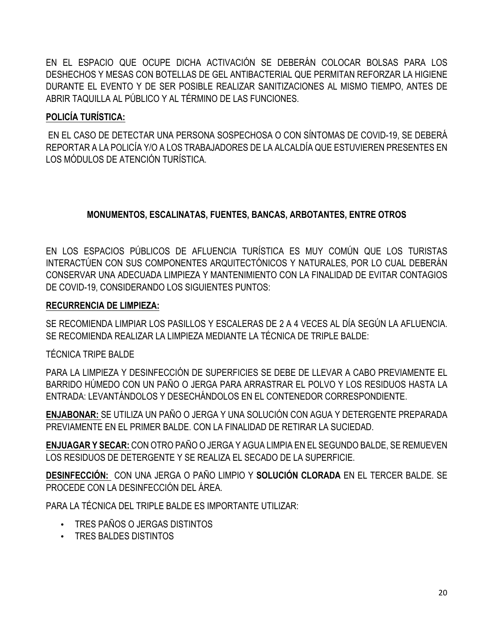EN EL ESPACIO QUE OCUPE DICHA ACTIVACIÓN SE DEBERÁN COLOCAR BOLSAS PARA LOS DESHECHOS Y MESAS CON BOTELLAS DE GEL ANTIBACTERIAL QUE PERMITAN REFORZAR LA HIGIENE DURANTE EL EVENTO Y DE SER POSIBLE REALIZAR SANITIZACIONES AL MISMO TIEMPO, ANTES DE ABRIR TAQUILLA AL PÚBLICO Y AL TÉRMINO DE LAS FUNCIONES.

# **POLICÍA TURÍSTICA:**

EN EL CASO DE DETECTAR UNA PERSONA SOSPECHOSA O CON SÍNTOMAS DE COVID-19, SE DEBERÁ REPORTAR A LA POLICÍA Y/O A LOS TRABAJADORES DE LA ALCALDÍA QUE ESTUVIEREN PRESENTES EN LOS MÓDULOS DE ATENCIÓN TURÍSTICA.

# **MONUMENTOS, ESCALINATAS, FUENTES, BANCAS, ARBOTANTES, ENTRE OTROS**

EN LOS ESPACIOS PÚBLICOS DE AFLUENCIA TURÍSTICA ES MUY COMÚN QUE LOS TURISTAS INTERACTÚEN CON SUS COMPONENTES ARQUITECTÓNICOS Y NATURALES, POR LO CUAL DEBERÁN CONSERVAR UNA ADECUADA LIMPIEZA Y MANTENIMIENTO CON LA FINALIDAD DE EVITAR CONTAGIOS DE COVID-19, CONSIDERANDO LOS SIGUIENTES PUNTOS:

# **RECURRENCIA DE LIMPIEZA:**

SE RECOMIENDA LIMPIAR LOS PASILLOS Y ESCALERAS DE 2 A 4 VECES AL DÍA SEGÚN LA AFLUENCIA. SE RECOMIENDA REALIZAR LA LIMPIEZA MEDIANTE LA TÉCNICA DE TRIPLE BALDE:

# TÉCNICA TRIPE BALDE

PARA LA LIMPIEZA Y DESINFECCIÓN DE SUPERFICIES SE DEBE DE LLEVAR A CABO PREVIAMENTE EL BARRIDO HÚMEDO CON UN PAÑO O JERGA PARA ARRASTRAR EL POLVO Y LOS RESIDUOS HASTA LA ENTRADA: LEVANTÁNDOLOS Y DESECHÁNDOLOS EN EL CONTENEDOR CORRESPONDIENTE.

**ENJABONAR:** SE UTILIZA UN PAÑO O JERGA Y UNA SOLUCIÓN CON AGUA Y DETERGENTE PREPARADA PREVIAMENTE EN EL PRIMER BALDE. CON LA FINALIDAD DE RETIRAR LA SUCIEDAD.

**ENJUAGAR Y SECAR:** CON OTRO PAÑO O JERGA Y AGUA LIMPIA EN EL SEGUNDO BALDE, SE REMUEVEN LOS RESIDUOS DE DETERGENTE Y SE REALIZA EL SECADO DE LA SUPERFICIE.

**DESINFECCIÓN:** CON UNA JERGA O PAÑO LIMPIO Y **SOLUCIÓN CLORADA** EN EL TERCER BALDE. SE PROCEDE CON LA DESINFECCIÓN DEL ÁREA.

PARA LA TÉCNICA DEL TRIPLE BALDE ES IMPORTANTE UTILIZAR:

- TRES PAÑOS O JERGAS DISTINTOS
- TRES BALDES DISTINTOS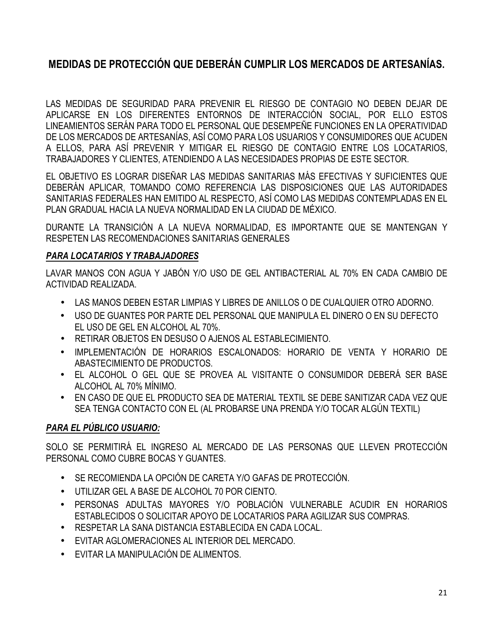# **MEDIDAS DE PROTECCIÓN QUE DEBERÁN CUMPLIR LOS MERCADOS DE ARTESANÍAS.**

LAS MEDIDAS DE SEGURIDAD PARA PREVENIR EL RIESGO DE CONTAGIO NO DEBEN DEJAR DE APLICARSE EN LOS DIFERENTES ENTORNOS DE INTERACCIÓN SOCIAL, POR ELLO ESTOS LINEAMIENTOS SERÁN PARA TODO EL PERSONAL QUE DESEMPEÑE FUNCIONES EN LA OPERATIVIDAD DE LOS MERCADOS DE ARTESANÍAS, ASÍ COMO PARA LOS USUARIOS Y CONSUMIDORES QUE ACUDEN A ELLOS, PARA ASÍ PREVENIR Y MITIGAR EL RIESGO DE CONTAGIO ENTRE LOS LOCATARIOS, TRABAJADORES Y CLIENTES, ATENDIENDO A LAS NECESIDADES PROPIAS DE ESTE SECTOR.

EL OBJETIVO ES LOGRAR DISEÑAR LAS MEDIDAS SANITARIAS MÁS EFECTIVAS Y SUFICIENTES QUE DEBERÁN APLICAR, TOMANDO COMO REFERENCIA LAS DISPOSICIONES QUE LAS AUTORIDADES SANITARIAS FEDERALES HAN EMITIDO AL RESPECTO, ASÍ COMO LAS MEDIDAS CONTEMPLADAS EN EL PLAN GRADUAL HACIA LA NUEVA NORMALIDAD EN LA CIUDAD DE MÉXICO.

DURANTE LA TRANSICIÓN A LA NUEVA NORMALIDAD, ES IMPORTANTE QUE SE MANTENGAN Y RESPETEN LAS RECOMENDACIONES SANITARIAS GENERALES

# *PARA LOCATARIOS Y TRABAJADORES*

LAVAR MANOS CON AGUA Y JABÓN Y/O USO DE GEL ANTIBACTERIAL AL 70% EN CADA CAMBIO DE ACTIVIDAD REALIZADA.

- LAS MANOS DEBEN ESTAR LIMPIAS Y LIBRES DE ANILLOS O DE CUALQUIER OTRO ADORNO.
- USO DE GUANTES POR PARTE DEL PERSONAL QUE MANIPULA EL DINERO O EN SU DEFECTO EL USO DE GEL EN ALCOHOL AL 70%.
- RETIRAR OBJETOS EN DESUSO O AJENOS AL ESTABLECIMIENTO.
- IMPLEMENTACIÓN DE HORARIOS ESCALONADOS: HORARIO DE VENTA Y HORARIO DE ABASTECIMIENTO DE PRODUCTOS.
- EL ALCOHOL O GEL QUE SE PROVEA AL VISITANTE O CONSUMIDOR DEBERÁ SER BASE ALCOHOL AL 70% MÍNIMO.
- EN CASO DE QUE EL PRODUCTO SEA DE MATERIAL TEXTIL SE DEBE SANITIZAR CADA VEZ QUE SEA TENGA CONTACTO CON EL (AL PROBARSE UNA PRENDA Y/O TOCAR ALGÚN TEXTIL)

# *PARA EL PÚBLICO USUARIO:*

SOLO SE PERMITIRÁ EL INGRESO AL MERCADO DE LAS PERSONAS QUE LLEVEN PROTECCIÓN PERSONAL COMO CUBRE BOCAS Y GUANTES.

- SE RECOMIENDA LA OPCIÓN DE CARETA Y/O GAFAS DE PROTECCIÓN.
- UTILIZAR GEL A BASE DE ALCOHOL 70 POR CIENTO.
- PERSONAS ADULTAS MAYORES Y/O POBLACIÓN VULNERABLE ACUDIR EN HORARIOS ESTABLECIDOS O SOLICITAR APOYO DE LOCATARIOS PARA AGILIZAR SUS COMPRAS.
- RESPETAR LA SANA DISTANCIA ESTABLECIDA EN CADA LOCAL.
- EVITAR AGLOMERACIONES AL INTERIOR DEL MERCADO.
- EVITAR LA MANIPULACIÓN DE ALIMENTOS.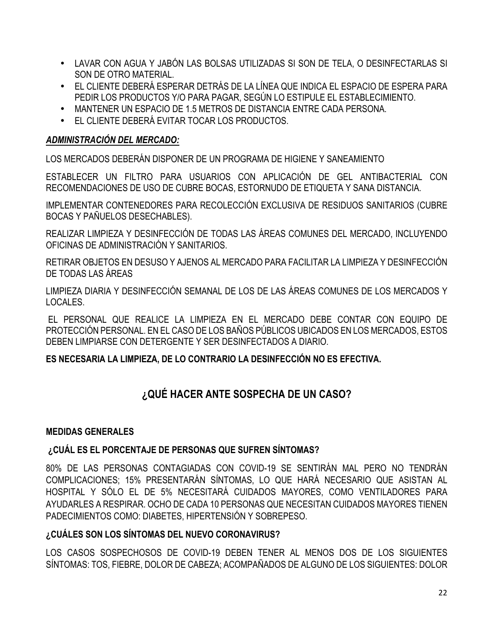- LAVAR CON AGUA Y JABÓN LAS BOLSAS UTILIZADAS SI SON DE TELA, O DESINFECTARLAS SI SON DE OTRO MATERIAL.
- EL CLIENTE DEBERÁ ESPERAR DETRÁS DE LA LÍNEA QUE INDICA EL ESPACIO DE ESPERA PARA PEDIR LOS PRODUCTOS Y/O PARA PAGAR, SEGÚN LO ESTIPULE EL ESTABLECIMIENTO.
- MANTENER UN ESPACIO DE 1.5 METROS DE DISTANCIA ENTRE CADA PERSONA.
- EL CLIENTE DEBERÁ EVITAR TOCAR LOS PRODUCTOS.

# *ADMINISTRACIÓN DEL MERCADO:*

LOS MERCADOS DEBERÁN DISPONER DE UN PROGRAMA DE HIGIENE Y SANEAMIENTO

ESTABLECER UN FILTRO PARA USUARIOS CON APLICACIÓN DE GEL ANTIBACTERIAL CON RECOMENDACIONES DE USO DE CUBRE BOCAS, ESTORNUDO DE ETIQUETA Y SANA DISTANCIA.

IMPLEMENTAR CONTENEDORES PARA RECOLECCIÓN EXCLUSIVA DE RESIDUOS SANITARIOS (CUBRE BOCAS Y PAÑUELOS DESECHABLES).

REALIZAR LIMPIEZA Y DESINFECCIÓN DE TODAS LAS ÁREAS COMUNES DEL MERCADO, INCLUYENDO OFICINAS DE ADMINISTRACIÓN Y SANITARIOS.

RETIRAR OBJETOS EN DESUSO Y AJENOS AL MERCADO PARA FACILITAR LA LIMPIEZA Y DESINFECCIÓN DE TODAS LAS ÁREAS

LIMPIEZA DIARIA Y DESINFECCIÓN SEMANAL DE LOS DE LAS ÁREAS COMUNES DE LOS MERCADOS Y LOCALES.

EL PERSONAL QUE REALICE LA LIMPIEZA EN EL MERCADO DEBE CONTAR CON EQUIPO DE PROTECCIÓN PERSONAL. EN EL CASO DE LOS BAÑOS PÚBLICOS UBICADOS EN LOS MERCADOS, ESTOS DEBEN LIMPIARSE CON DETERGENTE Y SER DESINFECTADOS A DIARIO.

# **ES NECESARIA LA LIMPIEZA, DE LO CONTRARIO LA DESINFECCIÓN NO ES EFECTIVA.**

# **¿QUÉ HACER ANTE SOSPECHA DE UN CASO?**

# **MEDIDAS GENERALES**

# **¿CUÁL ES EL PORCENTAJE DE PERSONAS QUE SUFREN SÍNTOMAS?**

80% DE LAS PERSONAS CONTAGIADAS CON COVID-19 SE SENTIRÁN MAL PERO NO TENDRÁN COMPLICACIONES; 15% PRESENTARÁN SÍNTOMAS, LO QUE HARÁ NECESARIO QUE ASISTAN AL HOSPITAL Y SÓLO EL DE 5% NECESITARÁ CUIDADOS MAYORES, COMO VENTILADORES PARA AYUDARLES A RESPIRAR. OCHO DE CADA 10 PERSONAS QUE NECESITAN CUIDADOS MAYORES TIENEN PADECIMIENTOS COMO: DIABETES, HIPERTENSIÓN Y SOBREPESO.

# **¿CUÁLES SON LOS SÍNTOMAS DEL NUEVO CORONAVIRUS?**

LOS CASOS SOSPECHOSOS DE COVID-19 DEBEN TENER AL MENOS DOS DE LOS SIGUIENTES SÍNTOMAS: TOS, FIEBRE, DOLOR DE CABEZA; ACOMPAÑADOS DE ALGUNO DE LOS SIGUIENTES: DOLOR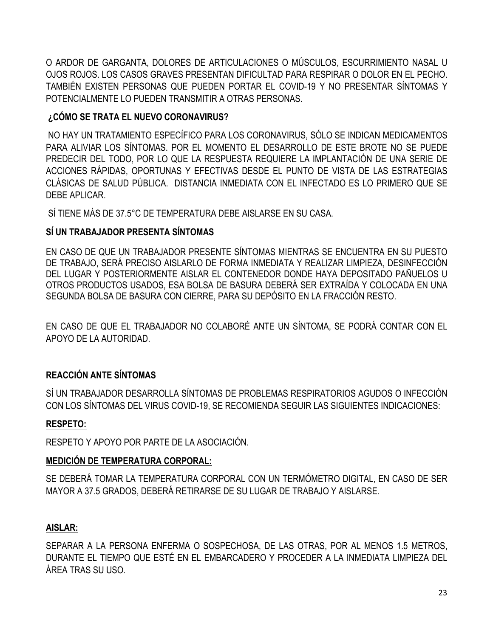O ARDOR DE GARGANTA, DOLORES DE ARTICULACIONES O MÚSCULOS, ESCURRIMIENTO NASAL U OJOS ROJOS. LOS CASOS GRAVES PRESENTAN DIFICULTAD PARA RESPIRAR O DOLOR EN EL PECHO. TAMBIÉN EXISTEN PERSONAS QUE PUEDEN PORTAR EL COVID-19 Y NO PRESENTAR SÍNTOMAS Y POTENCIALMENTE LO PUEDEN TRANSMITIR A OTRAS PERSONAS.

# **¿CÓMO SE TRATA EL NUEVO CORONAVIRUS?**

NO HAY UN TRATAMIENTO ESPECÍFICO PARA LOS CORONAVIRUS, SÓLO SE INDICAN MEDICAMENTOS PARA ALIVIAR LOS SÍNTOMAS. POR EL MOMENTO EL DESARROLLO DE ESTE BROTE NO SE PUEDE PREDECIR DEL TODO, POR LO QUE LA RESPUESTA REQUIERE LA IMPLANTACIÓN DE UNA SERIE DE ACCIONES RÁPIDAS, OPORTUNAS Y EFECTIVAS DESDE EL PUNTO DE VISTA DE LAS ESTRATEGIAS CLÁSICAS DE SALUD PÚBLICA. DISTANCIA INMEDIATA CON EL INFECTADO ES LO PRIMERO QUE SE DEBE APLICAR.

SÍ TIENE MÁS DE 37.5°C DE TEMPERATURA DEBE AISLARSE EN SU CASA.

# **SÍ UN TRABAJADOR PRESENTA SÍNTOMAS**

EN CASO DE QUE UN TRABAJADOR PRESENTE SÍNTOMAS MIENTRAS SE ENCUENTRA EN SU PUESTO DE TRABAJO, SERÁ PRECISO AISLARLO DE FORMA INMEDIATA Y REALIZAR LIMPIEZA, DESINFECCIÓN DEL LUGAR Y POSTERIORMENTE AISLAR EL CONTENEDOR DONDE HAYA DEPOSITADO PAÑUELOS U OTROS PRODUCTOS USADOS, ESA BOLSA DE BASURA DEBERÁ SER EXTRAÍDA Y COLOCADA EN UNA SEGUNDA BOLSA DE BASURA CON CIERRE, PARA SU DEPÓSITO EN LA FRACCIÓN RESTO.

EN CASO DE QUE EL TRABAJADOR NO COLABORÉ ANTE UN SÍNTOMA, SE PODRÁ CONTAR CON EL APOYO DE LA AUTORIDAD.

# **REACCIÓN ANTE SÍNTOMAS**

SÍ UN TRABAJADOR DESARROLLA SÍNTOMAS DE PROBLEMAS RESPIRATORIOS AGUDOS O INFECCIÓN CON LOS SÍNTOMAS DEL VIRUS COVID-19, SE RECOMIENDA SEGUIR LAS SIGUIENTES INDICACIONES:

# **RESPETO:**

RESPETO Y APOYO POR PARTE DE LA ASOCIACIÓN.

# **MEDICIÓN DE TEMPERATURA CORPORAL:**

SE DEBERÁ TOMAR LA TEMPERATURA CORPORAL CON UN TERMÓMETRO DIGITAL, EN CASO DE SER MAYOR A 37.5 GRADOS, DEBERÁ RETIRARSE DE SU LUGAR DE TRABAJO Y AISLARSE.

# **AISLAR:**

SEPARAR A LA PERSONA ENFERMA O SOSPECHOSA, DE LAS OTRAS, POR AL MENOS 1.5 METROS, DURANTE EL TIEMPO QUE ESTÉ EN EL EMBARCADERO Y PROCEDER A LA INMEDIATA LIMPIEZA DEL ÁREA TRAS SU USO.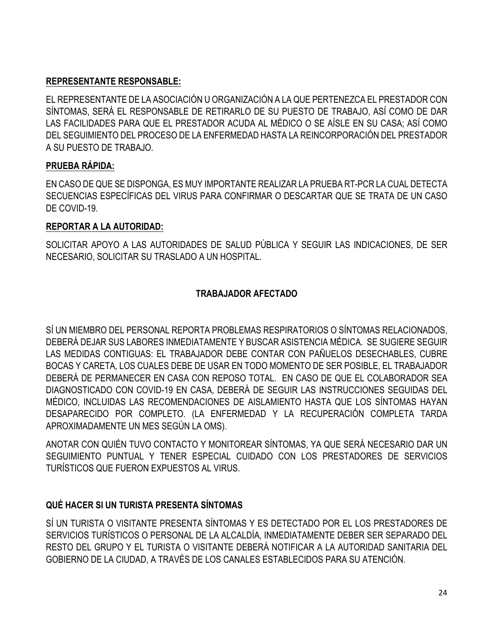# **REPRESENTANTE RESPONSABLE:**

EL REPRESENTANTE DE LA ASOCIACIÓN U ORGANIZACIÓN A LA QUE PERTENEZCA EL PRESTADOR CON SÍNTOMAS, SERÁ EL RESPONSABLE DE RETIRARLO DE SU PUESTO DE TRABAJO, ASÍ COMO DE DAR LAS FACILIDADES PARA QUE EL PRESTADOR ACUDA AL MÉDICO O SE AÍSLE EN SU CASA; ASÍ COMO DEL SEGUIMIENTO DEL PROCESO DE LA ENFERMEDAD HASTA LA REINCORPORACIÓN DEL PRESTADOR A SU PUESTO DE TRABAJO.

# **PRUEBA RÁPIDA:**

EN CASO DE QUE SE DISPONGA, ES MUY IMPORTANTE REALIZAR LA PRUEBA RT-PCR LA CUAL DETECTA SECUENCIAS ESPECÍFICAS DEL VIRUS PARA CONFIRMAR O DESCARTAR QUE SE TRATA DE UN CASO DE COVID-19.

# **REPORTAR A LA AUTORIDAD:**

SOLICITAR APOYO A LAS AUTORIDADES DE SALUD PÚBLICA Y SEGUIR LAS INDICACIONES, DE SER NECESARIO, SOLICITAR SU TRASLADO A UN HOSPITAL.

# **TRABAJADOR AFECTADO**

SÍ UN MIEMBRO DEL PERSONAL REPORTA PROBLEMAS RESPIRATORIOS O SÍNTOMAS RELACIONADOS, DEBERÁ DEJAR SUS LABORES INMEDIATAMENTE Y BUSCAR ASISTENCIA MÉDICA. SE SUGIERE SEGUIR LAS MEDIDAS CONTIGUAS: EL TRABAJADOR DEBE CONTAR CON PAÑUELOS DESECHABLES, CUBRE BOCAS Y CARETA, LOS CUALES DEBE DE USAR EN TODO MOMENTO DE SER POSIBLE, EL TRABAJADOR DEBERÁ DE PERMANECER EN CASA CON REPOSO TOTAL. EN CASO DE QUE EL COLABORADOR SEA DIAGNOSTICADO CON COVID-19 EN CASA, DEBERÁ DE SEGUIR LAS INSTRUCCIONES SEGUIDAS DEL MÉDICO, INCLUIDAS LAS RECOMENDACIONES DE AISLAMIENTO HASTA QUE LOS SÍNTOMAS HAYAN DESAPARECIDO POR COMPLETO. (LA ENFERMEDAD Y LA RECUPERACIÓN COMPLETA TARDA APROXIMADAMENTE UN MES SEGÚN LA OMS).

ANOTAR CON QUIÉN TUVO CONTACTO Y MONITOREAR SÍNTOMAS, YA QUE SERÁ NECESARIO DAR UN SEGUIMIENTO PUNTUAL Y TENER ESPECIAL CUIDADO CON LOS PRESTADORES DE SERVICIOS TURÍSTICOS QUE FUERON EXPUESTOS AL VIRUS.

# **QUÉ HACER SI UN TURISTA PRESENTA SÍNTOMAS**

SÍ UN TURISTA O VISITANTE PRESENTA SÍNTOMAS Y ES DETECTADO POR EL LOS PRESTADORES DE SERVICIOS TURÍSTICOS O PERSONAL DE LA ALCALDÍA, INMEDIATAMENTE DEBER SER SEPARADO DEL RESTO DEL GRUPO Y EL TURISTA O VISITANTE DEBERÁ NOTIFICAR A LA AUTORIDAD SANITARIA DEL GOBIERNO DE LA CIUDAD, A TRAVÉS DE LOS CANALES ESTABLECIDOS PARA SU ATENCIÓN.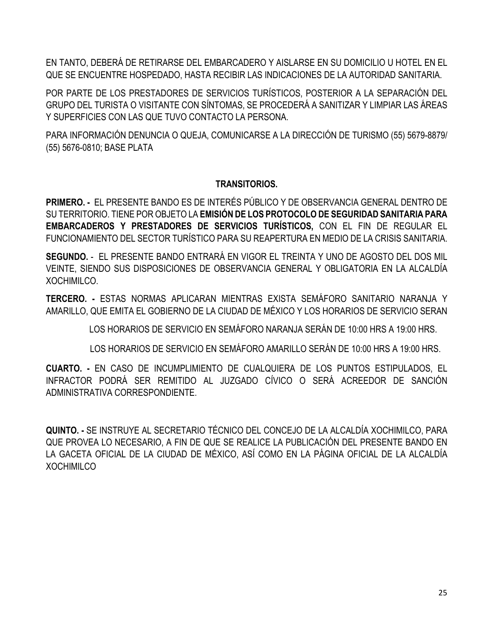EN TANTO, DEBERÁ DE RETIRARSE DEL EMBARCADERO Y AISLARSE EN SU DOMICILIO U HOTEL EN EL QUE SE ENCUENTRE HOSPEDADO, HASTA RECIBIR LAS INDICACIONES DE LA AUTORIDAD SANITARIA.

POR PARTE DE LOS PRESTADORES DE SERVICIOS TURÍSTICOS, POSTERIOR A LA SEPARACIÓN DEL GRUPO DEL TURISTA O VISITANTE CON SÍNTOMAS, SE PROCEDERÁ A SANITIZAR Y LIMPIAR LAS ÁREAS Y SUPERFICIES CON LAS QUE TUVO CONTACTO LA PERSONA.

PARA INFORMACIÓN DENUNCIA O QUEJA, COMUNICARSE A LA DIRECCIÓN DE TURISMO (55) 5679-8879/ (55) 5676-0810; BASE PLATA

#### **TRANSITORIOS.**

**PRIMERO. -** EL PRESENTE BANDO ES DE INTERÉS PÚBLICO Y DE OBSERVANCIA GENERAL DENTRO DE SU TERRITORIO. TIENE POR OBJETO LA **EMISIÓN DE LOS PROTOCOLO DE SEGURIDAD SANITARIA PARA EMBARCADEROS Y PRESTADORES DE SERVICIOS TURÍSTICOS,** CON EL FIN DE REGULAR EL FUNCIONAMIENTO DEL SECTOR TURÍSTICO PARA SU REAPERTURA EN MEDIO DE LA CRISIS SANITARIA.

**SEGUNDO.** - EL PRESENTE BANDO ENTRARÁ EN VIGOR EL TREINTA Y UNO DE AGOSTO DEL DOS MIL VEINTE, SIENDO SUS DISPOSICIONES DE OBSERVANCIA GENERAL Y OBLIGATORIA EN LA ALCALDÍA XOCHIMILCO.

**TERCERO. -** ESTAS NORMAS APLICARAN MIENTRAS EXISTA SEMÁFORO SANITARIO NARANJA Y AMARILLO, QUE EMITA EL GOBIERNO DE LA CIUDAD DE MÉXICO Y LOS HORARIOS DE SERVICIO SERAN

LOS HORARIOS DE SERVICIO EN SEMÁFORO NARANJA SERÁN DE 10:00 HRS A 19:00 HRS.

LOS HORARIOS DE SERVICIO EN SEMÁFORO AMARILLO SERÁN DE 10:00 HRS A 19:00 HRS.

**CUARTO. -** EN CASO DE INCUMPLIMIENTO DE CUALQUIERA DE LOS PUNTOS ESTIPULADOS, EL INFRACTOR PODRÁ SER REMITIDO AL JUZGADO CÍVICO O SERÁ ACREEDOR DE SANCIÓN ADMINISTRATIVA CORRESPONDIENTE.

**QUINTO. -** SE INSTRUYE AL SECRETARIO TÉCNICO DEL CONCEJO DE LA ALCALDÍA XOCHIMILCO, PARA QUE PROVEA LO NECESARIO, A FIN DE QUE SE REALICE LA PUBLICACIÓN DEL PRESENTE BANDO EN LA GACETA OFICIAL DE LA CIUDAD DE MÉXICO, ASÍ COMO EN LA PÁGINA OFICIAL DE LA ALCALDÍA **XOCHIMILCO**